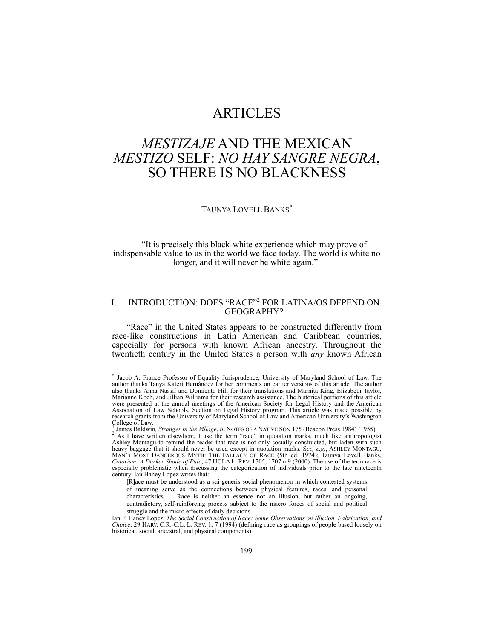# ARTICLES

# *MESTIZAJE* AND THE MEXICAN *MESTIZO* SELF: *NO HAY SANGRE NEGRA*, SO THERE IS NO BLACKNESS

# TAUNYA LOVELL BANKS<sup>\*</sup>

"It is precisely this black-white experience which may prove of indispensable value to us in the world we face today. The world is white no longer, and it will never be white again."

# I. INTRODUCTION: DOES "RACE"<sup>2</sup> FOR LATINA/OS DEPEND ON GEOGRAPHY?

"Race" in the United States appears to be constructed differently from race-like constructions in Latin American and Caribbean countries, especially for persons with known African ancestry. Throughout the twentieth century in the United States a person with *any* known African

∗ Jacob A. France Professor of Equality Jurisprudence, University of Maryland School of Law. The author thanks Tanya Katerí Hernández for her comments on earlier versions of this article. The author also thanks Anna Nassif and Domiento Hill for their translations and Marnita King, Elizabeth Taylor, Marianne Koch, and Jillian Williams for their research assistance. The historical portions of this article were presented at the annual meetings of the American Society for Legal History and the American Association of Law Schools, Section on Legal History program. This article was made possible by research grants from the University of Maryland School of Law and American University's Washington College of Law.

James Baldwin*, Stranger in the Village*, *in* NOTES OF A NATIVE SON 175 (Beacon Press 1984) (1955). 2  $^2$  As I have written elsewhere, I use the term "race" in quotation marks, much like anthropologist Ashley Montagu to remind the reader that race is not only socially constructed, but laden with such heavy baggage that it should never be used except in quotation marks. See, e.g., ASHLEY MONTAGU, MAN'S MOST DANGEROUS MYTH: THE FALLACY OF RACE (5th ed. 1974); Taunya Lovell Banks, Colorism: A Darker Shade of Pale, 47 UCLA especially problematic when discussing the categorization of individuals prior to the late nineteenth century. Ian Haney Lopez writes that:

<sup>[</sup>R]ace must be understood as a sui generis social phenomenon in which contested systems of meaning serve as the connections between physical features, races, and personal characteristics . . . Race is neither an essence nor an illusion, but rather an ongoing, contradictory, self-reinforcing process subject to the macro forces of social and political struggle and the micro effects of daily decisions.

Ian F. Haney Lopez, *The Social Construction of Race: Some Observations on Illusion, Fabrication, and Choice*, 29 HARV. C.R.-C.L. L. REV. 1, 7 (1994) (defining race as groupings of people based loosely on historical, social, ancestral, and physical components).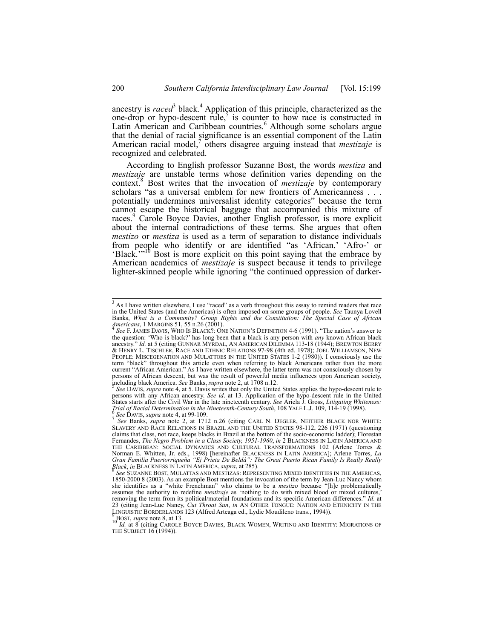ancestry is *raced*<sup>3</sup> black.<sup>4</sup> Application of this principle, characterized as the one-drop or hypo-descent rule,<sup>5</sup> is counter to how race is constructed in Latin American and Caribbean countries.<sup>6</sup> Although some scholars argue that the denial of racial significance is an essential component of the Latin American racial model,<sup>7</sup> others disagree arguing instead that *mestizaje* is recognized and celebrated.

According to English professor Suzanne Bost, the words *mestiza* and *mestizaje* are unstable terms whose definition varies depending on the context.<sup>8</sup> Bost writes that the invocation of *mestizaje* by contemporary scholars "as a universal emblem for new frontiers of Americanness . . . potentially undermines universalist identity categories" because the term cannot escape the historical baggage that accompanied this mixture of races.<sup>9</sup> Carole Boyce Davies, another English professor, is more explicit about the internal contradictions of these terms. She argues that often *mestizo* or *mestiza* is used as a term of separation to distance individuals from people who identify or are identified "as 'African,' 'Afro-' or 'Black.'"10 Bost is more explicit on this point saying that the embrace by American academics of *mestizaje* is suspect because it tends to privilege lighter-skinned people while ignoring "the continued oppression of darker-

 <sup>3</sup> As I have written elsewhere, I use "raced" as a verb throughout this essay to remind readers that race in the United States (and the Americas) is often imposed on some groups of people. *See* Taunya Lovell Banks, *What is a Community? Group Rights and the Constitution: The Special Case of African Americans*, 1 MARGINS 51, 55 n.26 (2001).<br><sup>4</sup> *See* F. JAMES DAVIS, WHO IS BLACK?: ONE NATION'S DEFINITION 4-6 (1991). "The nation's answer to

the question: 'Who is black?' has long been that a black is any person with *any* known African black ancestry." Id. at 5 (citing Gunnar Myrdal, An American Dilemma 113-18 (1944); Brewton Berry<br>& Henry L. Tischler, Race and Ethnic Relations 97-98 (4th ed. 1978); Joel Williamson, New PEOPLE: MISCEGENATION AND MULATTOES IN THE UNITED STATES 1-2 (1980)). I consciously use the term "black" throughout this article even when referring to black Americans rather than the more current "African American." As I have written elsewhere, the latter term was not consciously chosen by persons of African descent, but was the result of powerful media influences upon American society, including black America. See Banks, *supra* note 2, at 1708 n.12.

See DAVIS, *supra* note 4, at 5. Davis writes that only the United States applies the hypo-descent rule to persons with any African ancestry. *See id*. at 13. Application of the hypo-descent rule in the United States starts after the Civil War in the late nineteenth century. See Ariela J. Gross, Litigating Whiteness:<br>Trial of Racial Determination in the Nineteenth-Century South, 108 YALE L.J. 109, 114-19 (1998).<br><sup>6</sup> See DAVIS,

See Banks, *supra* note 2, at 1712 n.26 (citing CARL N. DEGLER, NEITHER BLACK NOR WHITE:<br>SLAVERY AND RACE RELATIONS IN BRAZIL AND THE UNITED STATES 98-112, 226 (1971) (questioning claims that class, not race, keeps blacks in Brazil at the bottom of the socio-economic ladder); Florestan Fernandes, *The Negro Problem in a Class Society, 1951-1960*, *in* 2 BLACKNESS IN LATIN AMERICA AND THE CARIBBEAN: SOCIAL DYNAMICS AND CULTURAL TRANSFORMATIONS 102 (Arlene Torres & Norman E. Whitten, Jr. eds., 1998) [hereinafter BLACKNESS IN LATIN AMERICA]; Arlene Torres, *La Gran Familia Puertorriqueña "Ej Prieta De Beldá": The Great Puerto Rican Family Is Really Really* 

*Black, in* BLACKNESS IN LATIN AMERICA, *supra*, at 285).<br><sup>8</sup> See SUZANNE BOST, MULATTAS AND MESTIZAS: REPRESENTING MIXED IDENTITIES IN THE AMERICAS, 1850-2000 8 (2003). As an example Bost mentions the invocation of the te assumes the authority to redefine *mestizaje* as 'nothing to do with mixed blood or mixed cultures,' removing the term from its political/material foundations and its specific American differences." *Id*. at 23 (citing Jean-Luc Nancy, *Cut Throat Sun*, *in* AN OTHER TONGUE: NATION AND ETHNICITY IN THE LINGUISTIC BORDERLANDS 123 (Alfred Arteaga ed., Lydie Moudileno trans., 1994)).<br>
<sup>10</sup>BOST, *supra* note 8, at 13.<br>
<sup>10</sup>BOST, *supra* note 8, at 13.

BOST, *supra* note 8, at 13. 10 *Id.* at 8 (citing CAROLE BOYCE DAVIES, BLACK WOMEN, WRITING AND IDENTITY: MIGRATIONS OF THE SUBJECT 16 (1994)).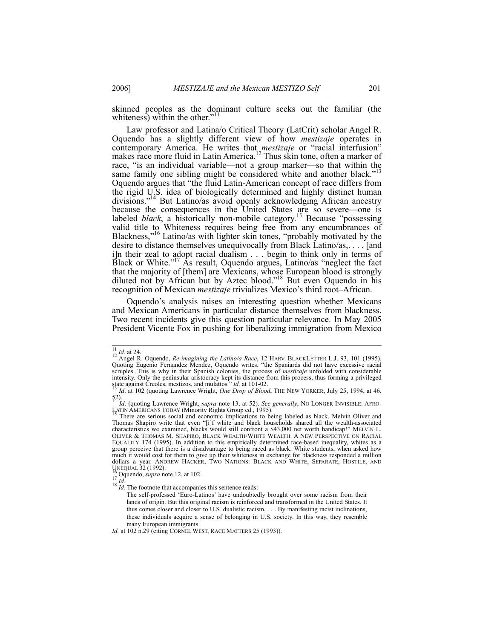skinned peoples as the dominant culture seeks out the familiar (the whiteness) within the other."<sup>11</sup>

Law professor and Latina/o Critical Theory (LatCrit) scholar Angel R. Oquendo has a slightly different view of how *mestizaje* operates in contemporary America. He writes that *mestizaje* or "racial interfusion" makes race more fluid in Latin America.<sup>12</sup> Thus skin tone, often a marker of race, "is an individual variable—not a group marker—so that within the same family one sibling might be considered white and another black."<sup>13</sup> Oquendo argues that "the fluid Latin-American concept of race differs from the rigid U.S. idea of biologically determined and highly distinct human divisions."<sup>14</sup> But Latino/as avoid openly acknowledging African ancestry because the consequences in the United States are so severe—one is labeled *black*, a historically non-mobile category.<sup>15</sup> Because "possessing valid title to Whiteness requires being free from any encumbrances of Blackness,"16 Latino/as with lighter skin tones, "probably motivated by the desire to distance themselves unequivocally from Black Latino/as,. . . . [and i]n their zeal to adopt racial dualism . . . begin to think only in terms of Black or White."<sup>17</sup> As result, Oquendo argues, Latino/as "neglect the fact that the majority of [them] are Mexicans, whose European blood is strongly diluted not by African but by Aztec blood."<sup>18</sup> But even Oquendo in his recognition of Mexican *mestizaje* trivializes Mexico's third root–African.

Oquendo's analysis raises an interesting question whether Mexicans and Mexican Americans in particular distance themselves from blackness. Two recent incidents give this question particular relevance. In May 2005 President Vicente Fox in pushing for liberalizing immigration from Mexico

<sup>&</sup>lt;sup>11</sup> *Id.* at 24.<br><sup>12</sup> Angel R. Oquendo, *Re-imagining the Latino/a Race*, 12 HARV. BLACKLETTER L.J. 93, 101 (1995).<br>Quoting Eugenio Fernandez Mendez, Oquendo writes, "the Spaniards did not have excessive racial scruples. This is why in their Spanish colonies, the process of *mestizaje* unfolded with considerable intensity. Only the peninsular aristocracy kept its distance from this process, thus forming a privileged<br>state against Creoles, mestizos, and mulattos." *Id.* at 101-02.<br><sup>13</sup> *Id.* at 102 (quoting Lawrence Wright, *One D* 

<sup>52).&</sup>lt;br>*Id.* (quoting Lawrence Wright, *supra* note 13, at 52). *See generally*, NO LONGER INVISIBLE: AFRO-<br>LATIN AMERICANS TODAY (Minority Rights Group ed., 1995).

There are serious social and economic implications to being labeled as black. Melvin Oliver and Thomas Shapiro write that even "[i]f white and black households shared all the wealth-associated characteristics we examined, blacks would still confront a \$43,000 net worth handicap!" MELVIN L. OLIVER & THOMAS M. SHAPIRO, BLACK WEALTH/WHITE WEALTH: A NEW PERSPECTIVE ON RACIAL EQUALITY 174 (1995). In addition to this empirically determined race-based inequality, whites as a group perceive that there is a disadvantage to being raced as black. White students, when asked how much it would cost for them to give up their whiteness in exchange for blackness responded a million dollars a year. ANDREW HACKER, TWO NATIONS: BLACK AND WHITE, SEPARATE, HOSTILE, AND UNEQUAL 32 (1992).<br><sup>16</sup> Oquendo, *supra* note 12, at 102.<br><sup>18</sup> *Id.* The footnote that accompanies this sentence reads:<br> $\frac{18}{18}$  *Id.* The footnote that accompanies this sentence reads:

The self-professed 'Euro-Latinos' have undoubtedly brought over some racism from their lands of origin. But this original racism is reinforced and transformed in the United States. It thus comes closer and closer to U.S. dualistic racism, . . . By manifesting racist inclinations, these individuals acquire a sense of belonging in U.S. society. In this way, they resemble many European immigrants.

*Id.* at 102 n.29 (citing CORNEL WEST, RACE MATTERS 25 (1993)).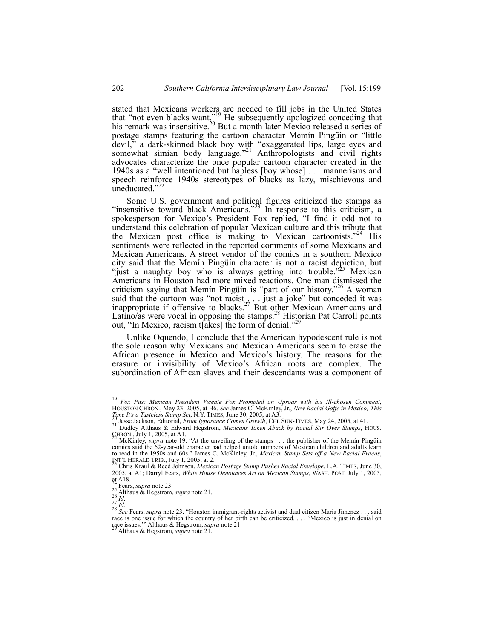stated that Mexicans workers are needed to fill jobs in the United States that "not even blacks want."<sup>19</sup> He subsequently apologized conceding that his remark was insensitive.<sup>20</sup> But a month later Mexico released a series of postage stamps featuring the cartoon character Memín Pingüín or "little devil," a dark-skinned black boy with "exaggerated lips, large eyes and somewhat simian body language."<sup>21</sup> Anthropologists and civil rights advocates characterize the once popular cartoon character created in the 1940s as a "well intentioned but hapless [boy whose] . . . mannerisms and speech reinforce 1940s stereotypes of blacks as lazy, mischievous and uneducated."

Some U.S. government and political figures criticized the stamps as "insensitive toward black Americans."<sup>23</sup> In response to this criticism, a spokesperson for Mexico's President Fox replied, "I find it odd not to understand this celebration of popular Mexican culture and this tribute that the Mexican post office is making to Mexican cartoonists."<sup>24</sup> sentiments were reflected in the reported comments of some Mexicans and Mexican Americans. A street vendor of the comics in a southern Mexico city said that the Memín Pingüín character is not a racist depiction, but "just a naughty boy who is always getting into trouble."<sup>25</sup> Mexican Americans in Houston had more mixed reactions. One man dismissed the criticism saying that Memín Pingüín is "part of our history."26 A woman said that the cartoon was "not racist $\ldots$  just a joke" but conceded it was inappropriate if offensive to blacks.<sup>27</sup> But other Mexican Americans and Latino/as were vocal in opposing the stamps.<sup>28</sup> Historian Pat Carroll points out, "In Mexico, racism takes] the form of denial."

Unlike Oquendo, I conclude that the American hypodescent rule is not the sole reason why Mexicans and Mexican Americans seem to erase the African presence in Mexico and Mexico's history. The reasons for the erasure or invisibility of Mexico's African roots are complex. The subordination of African slaves and their descendants was a component of

 <sup>19</sup> *Fox Pas; Mexican President Vicente Fox Prompted an Uproar with his Ill-chosen Comment*, HOUSTON CHRON., May 23, 2005, at B6. *See* James C. McKinley, Jr., *New Racial Gaffe in Mexico; This* 

<sup>26&</sup>lt;br>
Jesse Jackson, Editorial, *From Ignorance Comes Growth*, CHI. SUN-TIMES, May 24, 2005, at 41.<br>
<sup>21</sup> Dudley Althaus & Edward Hegstrom, *Mexicans Taken Aback by Racial Stir Over Stamps*, HOUS.

CHRON., July 1, 2005, at A1. 22 McKinley, *supra* note 19. "At the unveiling of the stamps . . . the publisher of the Memín Pingüín

comics said the 62-year-old character had helped untold numbers of Mexican children and adults learn to read in the 1950s and 60s." James C. McKinley, Jr., *Mexican Stamp Sets off a New Racial Fracas*, INT'L HERALD TRIB., July 1, 2005, at 2.<br><sup>23</sup> Chris Kraul & Reed Johnson, *Mexican Postage Stamp Pushes Racial Envelope*, L.A. TIMES, June 30,

<sup>2005,</sup> at A1; Darryl Fears, *White House Denounces Art on Mexican Stamps*, WASH. POST, July 1, 2005,

<sup>&</sup>lt;sup>24</sup> Fears, *supra* note 23.<br>
<sup>25</sup> Althaus & Hegstrom, *supra* note 21.<br>
<sup>26</sup> Id.<br>
<sup>27</sup> Id.<br>
<sup>28</sup> See Fears, *supra* note 23. "Houston immigrant-rights activist and dual citizen Maria Jimenez ... said race is one issue for which the country of her birth can be criticized. . . . 'Mexico is just in denial on race issues.'" Althaus & Hegstrom, *supra* note 21.

race issues.'" Althaus & Hegstrom, *supra* note 21. 29 Althaus & Hegstrom, *supra* note 21.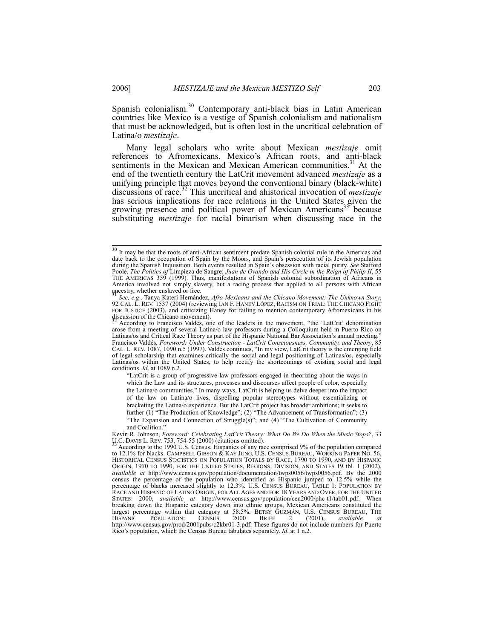Spanish colonialism.<sup>30</sup> Contemporary anti-black bias in Latin American countries like Mexico is a vestige of Spanish colonialism and nationalism that must be acknowledged, but is often lost in the uncritical celebration of Latina/o *mestizaje*.

Many legal scholars who write about Mexican *mestizaje* omit references to Afromexicans, Mexico's African roots, and anti-black sentiments in the Mexican and Mexican American communities.<sup>31</sup> At the end of the twentieth century the LatCrit movement advanced *mestizaje* as a unifying principle that moves beyond the conventional binary (black-white) discussions of race.32 This uncritical and ahistorical invocation of *mestizaje* has serious implications for race relations in the United States given the growing presence and political power of Mexican Americans<sup>35</sup> because substituting *mestizaje* for racial binarism when discussing race in the

"LatCrit is a group of progressive law professors engaged in theorizing about the ways in which the Law and its structures, processes and discourses affect people of color, especially the Latina/o communities." In many ways, LatCrit is helping us delve deeper into the impact of the law on Latina/o lives, dispelling popular stereotypes without essentializing or bracketing the Latina/o experience. But the LatCrit project has broader ambitions; it seeks to further (1) "The Production of Knowledge"; (2) "The Advancement of Transformation"; (3) "The Expansion and Connection of Struggle(s)"; and  $(4)$  "The Cultivation of Community

<sup>&</sup>lt;sup>30</sup> It may be that the roots of anti-African sentiment predate Spanish colonial rule in the Americas and date back to the occupation of Spain by the Moors, and Spain's persecution of its Jewish population during the Spanish Inquisition. Both events resulted in Spain's obsession with racial purity. *See* Stafford Poole, *The Politics of* Limpieza de Sangre: *Juan de Ovando and His Circle in the Reign of Philip II*, 55 THE AMERICAS 359 (1999). Thus, manifestations of Spanish colonial subordination of Africans in America involved not simply slavery, but a racing process that applied to all persons with African appearty, whether englaved or free.

See, e.g., Tanya Katerí Hernández, *Afro-Mexicans and the Chicano Movement: The Unknown Story*, 92 CAL. L. REV. 1537 (2004) (reviewing IAN F. HANEY LÓPEZ, RACISM ON TRIAL: THE CHICANO FIGHT FOR JUSTICE (2003), and criticizing Haney for failing to mention contemporary Afromexicans in his discussion of the Chicano movement).

According to Francisco Valdés, one of the leaders in the movement, "the 'LatCrit' denomination arose from a meeting of several Latina/o law professors during a Colloquium held in Puerto Rico on Latinas/os and Critical Race Theory as part of the Hispanic National Bar Association's annual meeting. Francisco Valdés, *Foreword: Under Construction - LatCrit Consciousness, Community, and Theory*, 85 CAL. L. REV. 1087, 1090 n.5 (1997). Valdés continues, "In my view, LatCrit theory is the emerging field of legal scholarship that examines critically the social and legal positioning of Latinas/os, especially Latinas/os within the United States, to help rectify the shortcomings of existing social and legal conditions. *Id*. at 1089 n.2.

and Coalition.'

Kevin R. Johnson, *Foreword: Celebrating LatCrit Theory: What Do We Do When the Music Stops?*, 33  $\frac{11}{3}$ C. DAVIS L. REV. 753, 754-55 (2000) (citations omitted).

According to the 1990 U.S. Census, Hispanics of any race comprised 9% of the population compared to 12.1% for blacks. CAMPBELL GIBSON & KAY JUNG, U.S. CENSUS BUREAU, WORKING PAPER NO. 56, HISTORICAL CENSUS STATISTICS ON POPULATION TOTALS BY RACE, 1790 TO 1990, AND BY HISPANIC ORIGIN, 1970 TO 1990, FOR THE UNITED STATES, REGIONS, DIVISION, AND STATES 19 tbl. 1 (2002), *available at* http://www.census.gov/population/documentation/twps0056/twps0056.pdf. By the 2000 census the percentage of the population who identified as Hispanic jumped to 12.5% while the percentage of blacks increased slightly to 12.3%. U.S. CENSUS BUREAU, TABLE 1: POPULATION BY RACE AND HISPANIC OF LATINO ORIGIN, FOR ALL AGES AND FOR 18 YEARS AND OVER, FOR THE UNITED STATES: 2000, *available at* http://www.census.gov/population/cen2000/phc-t1/tab01.pdf. When breaking down the Hispanic category down into ethnic groups, Mexican Americans constituted the largest percentage within that category at 58.5%. BETSY GUZMÁN, U.S. CENSUS BUREAU, THE<br>HISPANIC POPULATION: CENSUS 2000 BRIEF 2 (2001), *available at* HISPANIC POPULATION: CENSUS 2000 BRIEF 2 (2001), *available at* http://www.census.gov/prod/2001pubs/c2kbr01-3.pdf. These figures do not include numbers for Puerto Rico's population, which the Census Bureau tabulates separately. *Id*. at 1 n.2.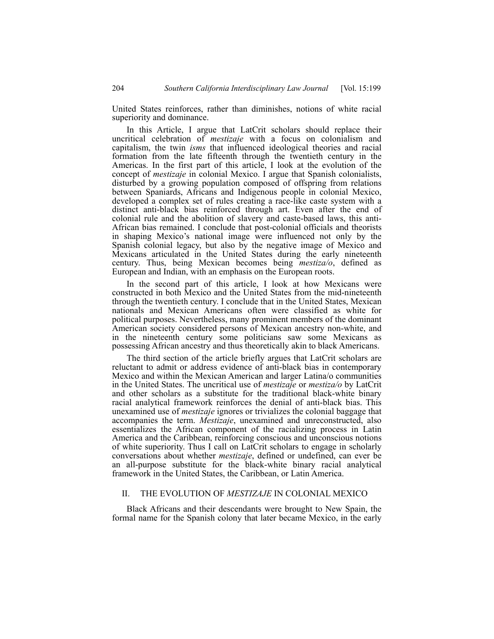United States reinforces, rather than diminishes, notions of white racial superiority and dominance.

In this Article, I argue that LatCrit scholars should replace their uncritical celebration of *mestizaje* with a focus on colonialism and capitalism, the twin *isms* that influenced ideological theories and racial formation from the late fifteenth through the twentieth century in the Americas. In the first part of this article, I look at the evolution of the concept of *mestizaje* in colonial Mexico. I argue that Spanish colonialists, disturbed by a growing population composed of offspring from relations between Spaniards, Africans and Indigenous people in colonial Mexico, developed a complex set of rules creating a race-like caste system with a distinct anti-black bias reinforced through art. Even after the end of colonial rule and the abolition of slavery and caste-based laws, this anti-African bias remained. I conclude that post-colonial officials and theorists in shaping Mexico's national image were influenced not only by the Spanish colonial legacy, but also by the negative image of Mexico and Mexicans articulated in the United States during the early nineteenth century. Thus, being Mexican becomes being *mestiza/o*, defined as European and Indian, with an emphasis on the European roots.

In the second part of this article, I look at how Mexicans were constructed in both Mexico and the United States from the mid-nineteenth through the twentieth century. I conclude that in the United States, Mexican nationals and Mexican Americans often were classified as white for political purposes. Nevertheless, many prominent members of the dominant American society considered persons of Mexican ancestry non-white, and in the nineteenth century some politicians saw some Mexicans as possessing African ancestry and thus theoretically akin to black Americans.

The third section of the article briefly argues that LatCrit scholars are reluctant to admit or address evidence of anti-black bias in contemporary Mexico and within the Mexican American and larger Latina/o communities in the United States. The uncritical use of *mestizaje* or *mestiza/o* by LatCrit and other scholars as a substitute for the traditional black-white binary racial analytical framework reinforces the denial of anti-black bias. This unexamined use of *mestizaje* ignores or trivializes the colonial baggage that accompanies the term. *Mestizaje*, unexamined and unreconstructed, also essentializes the African component of the racializing process in Latin America and the Caribbean, reinforcing conscious and unconscious notions of white superiority. Thus I call on LatCrit scholars to engage in scholarly conversations about whether *mestizaje*, defined or undefined, can ever be an all-purpose substitute for the black-white binary racial analytical framework in the United States, the Caribbean, or Latin America.

## II. THE EVOLUTION OF *MESTIZAJE* IN COLONIAL MEXICO

Black Africans and their descendants were brought to New Spain, the formal name for the Spanish colony that later became Mexico, in the early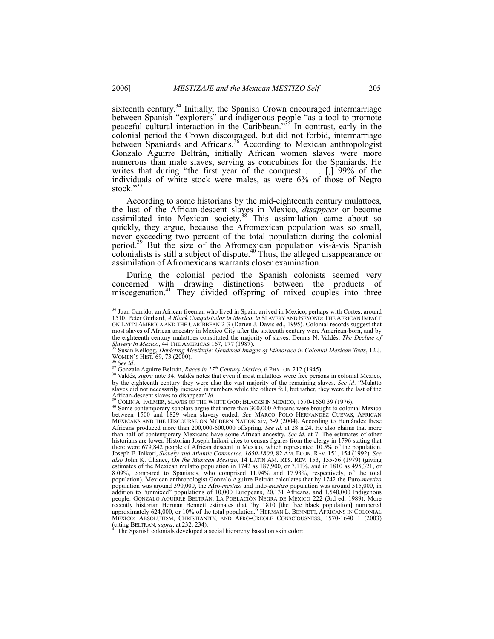sixteenth century.<sup>34</sup> Initially, the Spanish Crown encouraged intermarriage between Spanish "explorers" and indigenous people "as a tool to promote peaceful cultural interaction in the Caribbean.<sup>35</sup> In contrast, early in the colonial period the Crown discouraged, but did not forbid, intermarriage between Spaniards and Africans.<sup>36</sup> According to Mexican anthropologist Gonzalo Aguirre Beltrán, initially African women slaves were more numerous than male slaves, serving as concubines for the Spaniards. He writes that during "the first year of the conquest  $\dots$  [...] 99% of the individuals of white stock were males, as were 6% of those of Negro stock."

According to some historians by the mid-eighteenth century mulattoes, the last of the African-descent slaves in Mexico, *disappear* or become assimilated into Mexican society.<sup>38</sup> This assimilation came about so quickly, they argue, because the Afromexican population was so small, never exceeding two percent of the total population during the colonial period.<sup>39</sup> But the size of the Afromexican population vis-à-vis Spanish colonialists is still a subject of dispute. $40$  Thus, the alleged disappearance or assimilation of Afromexicans warrants closer examination.

During the colonial period the Spanish colonists seemed very concerned with drawing distinctions between the products of miscegenation.<sup>41</sup> They divided offspring of mixed couples into three

<sup>&</sup>lt;sup>34</sup> Juan Garrido, an African freeman who lived in Spain, arrived in Mexico, perhaps with Cortes, around 1510. Peter Gerhard, *A Black Conquistador in Mexico*, *in* SLAVERY AND BEYOND: THE AFRICAN IMPACT ON LATIN AMERICA AND THE CARIBBEAN 2-3 (Darién J. Davis ed., 1995). Colonial records suggest that most slaves of African ancestry in Mexico City after the sixteenth century were American-born, and by the eighteenth century mulattoes constituted the majority of slaves. Dennis N. Valdés, *The Decline of Slavery in Mexico*, 44 THE AMERICAS 167, 177 (1987).

<sup>&</sup>lt;sup>35</sup> Susan Kellogg, *Depicting Mestizaje: Gendered Images of Ethnorace in Colonial Mexican Texts*, 12 J.<br>WOMEN'S HIST. 69, 73 (2000).

<sup>&</sup>lt;sup>36</sup> See id.<br><sup>37</sup> Gonzalo Aguirre Beltrán, *Races in 17<sup>th</sup> Century Mexico*, 6 PHYLON 212 (1945).<br><sup>38</sup> Valdés, *supra* note 34. Valdés notes that even if most mulattoes were free persons in colonial Mexico, by the eighteenth century they were also the vast majority of the remaining slaves. *See id*. "Mulatto slaves did not necessarily increase in numbers while the others fell, but rather, they were the last of the African-descent slaves to disappear." $Id$ .<br><sup>39</sup> COLIN A. PALMER, SLAVES OF THE WHITE GOD: BLACKS IN MEXICO, 1570-1650 39 (1976).<br><sup>40</sup> Some contemporary scholars argue that more than 300,000 Africans were brought to colonia

between 1500 and 1829 when slavery ended. *See* MARCO POLO HERNÁNDEZ CUEVAS, AFRICAN MEXICANS AND THE DISCOURSE ON MODERN NATION xiv, 5-9 (2004). According to Hernández these Africans produced more than 200,000-600,000 offspring. *See id*. at 28 n.24. He also claims that more than half of contemporary Mexicans have some African ancestry. *See id*. at 7. The estimates of other historians are lower. Historian Joseph Inikori cites to census figures from the clergy in 1796 stating that there were 679,842 people of African descent in Mexico, which represented 10.5% of the population. Joseph E. Inikori, *Slavery and Atlantic Commerce, 1650-1800*, 82 AM. ECON. REV. 151, 154 (1992). *See also* John K. Chance, *On the Mexican Mestizo*, 14 LATIN AM. RES. REV. 153, 155-56 (1979) (giving estimates of the Mexican mulatto population in 1742 as 187,900, or 7.11%, and in 1810 as 495,321, or 8.09%, compared to Spaniards, who comprised 11.94% and 17.93%, respectively, of the total population). Mexican anthropologist Gonzalo Aguirre Beltrán calculates that by 1742 the Euro-*mestizo* population was around 390,000, the Afro-*mestizo* and Indo-*mestizo* population was around 515,000, in addition to "unmixed" populations of 10,000 Europeans, 20,131 Africans, and 1,540,000 Indigenous people. GONZALO AGUIRRE BELTRÁN, LA POBLACIÓN NEGRA DE MÉXICO 222 (3rd ed. 1989). More recently historian Herman Bennett estimates that "by 1810 [the free black population] numbered approximately 624,000, or 10% of the total population." HERMAN L. BENNETT, AFRICANS IN COLONIAL MEXICO: ABSOLUTISM, CHRISTIANITY, AND AFRO-CREOLE CONSCIOUSNESS, 1570-1640 1 (2003) (citing BELTRÁN, *supra*, at 232, 234). <sup>41</sup> The Spanish colonials developed a social hierarchy based on skin color: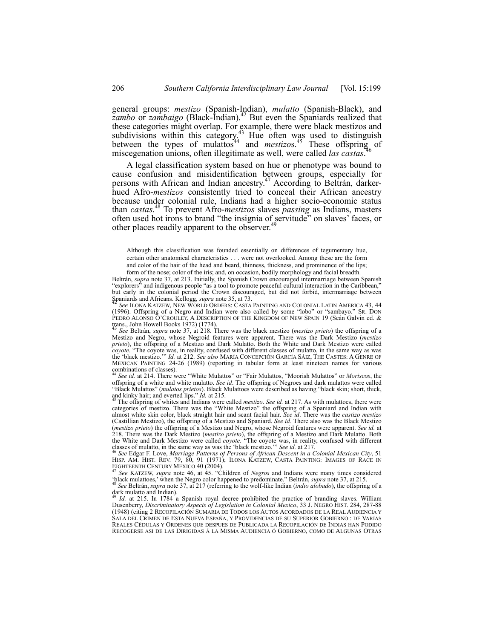general groups: *mestizo* (Spanish-Indian), *mulatto* (Spanish-Black), and *zambo* or *zambaigo* (Black-Indian).<sup>42</sup> But even the Spaniards realized that these categories might overlap. For example, there were black mestizos and subdivisions within this category.<sup>43</sup> Hue often was used to distinguish between the types of mulattos<sup>44</sup> and *mestizos*.<sup>45</sup> These offspring of miscographic unions often illogitimate as well were called *les egetes*<sup>46</sup> miscegenation unions, often illegitimate as well, were called *las castas*.

A legal classification system based on hue or phenotype was bound to cause confusion and misidentification between groups, especially for persons with African and Indian ancestry.47 According to Beltrán, darkerhued Afro-*mestizos* consistently tried to conceal their African ancestry because under colonial rule, Indians had a higher socio-economic status than *castas*. 48 To prevent Afro-*mestizos* slaves *passing* as Indians, masters often used hot irons to brand "the insignia of servitude" on slaves' faces, or other places readily apparent to the observer.<sup>4</sup>

See id. at 214. There were "White Mulattos" or "Fair Mulattos, "Moorish Mulattos" or *Moriscos*, the offspring of a white and white mulatto. *See id*. The offspring of Negroes and dark mulattos were called "Black Mulattos" (*mulatos prietos*). Black Mulattoes were described as having "black skin; short, thick, and everted lips." *Id.* at 215.

and kinky hair; and everted lips." *Id.* at 215.<br><sup>45</sup> The offspring of whites and Indians were called *mestizo. See id.* at 217. As with mulattoes, there were categories of mestizo. There was the "White Mestizo" the offspr almost white skin color, black straight hair and scant facial hair. *See id*. There was the *castizo mestizo* (Castillian Mestizo), the offspring of a Mestizo and Spaniard. *See id*. There also was the Black Mestizo (*mestizo prieto*) the offspring of a Mestizo and Negro, whose Negroid features were apparent. *See id.* at 218. There was the Dark Mestizo (*mestizo prieto*), the offspring of a Mestizo and Dark Mulatto. Both<br>the White and Dark Mestizo were called *coyote*. "The coyote was, in reality, confused with different<br>classes of mulatto

Although this classification was founded essentially on differences of tegumentary hue, certain other anatomical characteristics . . . were not overlooked. Among these are the form and color of the hair of the head and beard, thinness, thickness, and prominence of the lips; form of the nose; color of the iris; and, on occasion, bodily morphology and facial breadth.

Beltrán, *supra* note 37, at 213. Initially, the Spanish Crown encouraged intermarriage between Spanish "explorers" and indigenous people "as a tool to promote peaceful cultural interaction in the Caribbean," but early in the colonial period the Crown discouraged, but did not forbid, intermarriage between Spaniards and Africans. Kellogg, *supra* note 35, at 73.<br><sup>42</sup> See ILONA KATZEW, NEW WORLD ORDERS: CASTA PAINTING AND COLONIAL LATIN AMERICA 43, 44

<sup>(1996).</sup> Offspring of a Negro and Indian were also called by some "lobo" or "sambayo." SR. DON PEDRO ALONSO O'CROULEY, A DESCRIPTION OF THE KINGDOM OF NEW SPAIN 19 (Seán Galvin ed. & trans., John Howell Books 1972) (1774). 43 *See* Beltrán, *supra* note 37, at 218. There was the black mestizo (*mestizo prieto*) the offspring of a

Mestizo and Negro, whose Negroid features were apparent. There was the Dark Mestizo (*mestizo prieto*), the offspring of a Mestizo and Dark Mulatto. Both the White and Dark Mestizo were called *coyote*. "The coyote was, in reality, confused with different classes of mulatto, in the same way as was the 'black mestizo.'" *Id.* at 212. *See also* MARÍA CONCEPCIÓN GARCÍA SÁIZ, THE CASTES: A GENRE OF MEXICAN PAINTING 24-26 (1989) (reporting in tabular form at least nineteen names for various combinations of classes).

HISP. AM. HIST. REV. 79, 80, 91 (1971); ILONA KATZEW, CASTA PAINTING: IMAGES OF RACE IN EIGHTEENTH CENTURY MEXICO 40 (2004).

See KATZEW, *supra* note 46, at 45. "Children of *Negros* and Indians were many times considered back mulattoes, when the Negro color happened to predominate." Beltrán, supra note 37, at 215.<br><sup>48</sup> See Beltrán, supra note 37, at 217 (referring to the wolf-like Indian (*indio alobado*), the offspring of a

dark mulatto and Indian).

<sup>49</sup> *Id.* at 215. In 1784 a Spanish royal decree prohibited the practice of branding slaves. William Dusenberry, *Discriminatory Aspects of Legislation in Colonial Mexico*, 33 J. NEGRO HIST. 284, 287-88 (1948) (citing 2 RECOPILACIÓN SUMARIA DE TODOS LOS AUTOS ACORDADOS DE LA REAL AUDIENCIA Y SALA DEL CRIMEN DE ESTA NUEVA ESPAÑA, Y PROVIDENCIAS DE SU SUPERIOR GOBIERNO : DE VARIAS REALES CÉDULAS Y ORDENES QUE DESPUES DE PUBLICADA LA RECOPILACIÓN DE INDIAS HAN PODIDO RECOGERSE ASI DE LAS DIRIGIDAS Á LA MISMA AUDIENCIA Ó GOBIERNO, COMO DE ALGUNAS OTRAS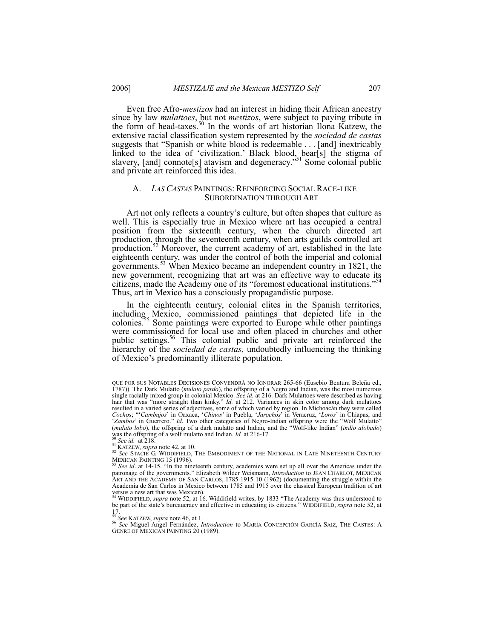Even free Afro-*mestizos* had an interest in hiding their African ancestry since by law *mulattoes*, but not *mestizos*, were subject to paying tribute in the form of head-taxes.<sup>50</sup> In the words of art historian Ilona Katzew, the extensive racial classification system represented by the *sociedad de castas* suggests that "Spanish or white blood is redeemable . . . [and] inextricably linked to the idea of 'civilization.' Black blood, bear[s] the stigma of slavery, [and] connote[s] atavism and degeneracy."<sup>51</sup> Some colonial public and private art reinforced this idea.

#### A. *LAS CASTAS* PAINTINGS: REINFORCING SOCIAL RACE-LIKE SUBORDINATION THROUGH ART

Art not only reflects a country's culture, but often shapes that culture as well. This is especially true in Mexico where art has occupied a central position from the sixteenth century, when the church directed art production, through the seventeenth century, when arts guilds controlled art production.<sup>52</sup> Moreover, the current academy of art, established in the late eighteenth century, was under the control of both the imperial and colonial governments.<sup>53</sup> When Mexico became an independent country in 1821, the new government, recognizing that art was an effective way to educate its citizens, made the Academy one of its "foremost educational institutions."54 Thus, art in Mexico has a consciously propagandistic purpose.

In the eighteenth century, colonial elites in the Spanish territories, including Mexico, commissioned paintings that depicted life in the colonies.<sup>55</sup> Some paintings were exported to Europe while other paintings were commissioned for local use and often placed in churches and other public settings.<sup>56</sup> This colonial public and private art reinforced the hierarchy of the *sociedad de castas,* undoubtedly influencing the thinking of Mexico's predominantly illiterate population.

QUE POR SUS NOTABLES DECISIONES CONVENDRÁ NO IGNORAR 265-66 (Eusebio Bentura Beleña ed., 1787)). The Dark Mulatto (*mulato pardo*), the offspring of a Negro and Indian, was the most numerous single racially mixed group in colonial Mexico. *See id.* at 216. Dark Mulattoes were described as having hair that was "more straight than kinky." *Id.* at 212. Variances in skin color among dark mulattoes resulted in a varied series of adjectives, some of which varied by region. In Michoacán they were called *Cochos*; "'*Cambujos*' in Oaxaca, '*Chinos*' in Puebla, '*Jarochos*' in Veracruz, '*Loros*' in Chiapas, and 'Zambos' in Guerrero." Id. Two other categories of Negro-Indian offspring were the "Wolf Mulatto"<br>(mulato lobo), the offspring of a dark mulatto and Indian, and the "Wolf-like Indian" (indio alobado) was the offspring of a wolf mulatto and Indian. *Id.* at 216-17.<br><sup>50</sup> See id. at 218.<br><sup>51</sup> KATZEW, *supra* note 42, at 10.<br><sup>52</sup> See STACIE G. WIDDIFIELD, THE EMBODIMENT OF THE NATIONAL IN LATE NINETEENTH-CENTURY

MEXICAN PAINTING 15 (1996). 53 *See id*. at 14-15. "In the nineteenth century, academies were set up all over the Americas under the

patronage of the governments." Elizabeth Wilder Weismann, *Introduction* to JEAN CHARLOT, MEXICAN ART AND THE ACADEMY OF SAN CARLOS, 1785-1915 10 (1962) (documenting the struggle within the Academia de San Carlos in Mexico between 1785 and 1915 over the classical European tradition of art versus a new art that was Mexican).

<sup>&</sup>lt;sup>54</sup> WIDDIFIELD, *supra* note 52, at 16. Widdifield writes, by 1833 "The Academy was thus understood to be part of the state's bureaucracy and effective in educating its citizens." WIDDIFIELD, *supra* note 52, at 17.<br> ${}^{55}_{5}$ See KATZEW, supra note 46, at 1.

<sup>55</sup> *See* KATZEW, *supra* note 46, at 1. 56 *See* Miguel Angel Fernández, *Introduction* to MARÍA CONCEPCIÓN GARCÍA SÁIZ, THE CASTES: <sup>A</sup> GENRE OF MEXICAN PAINTING 20 (1989).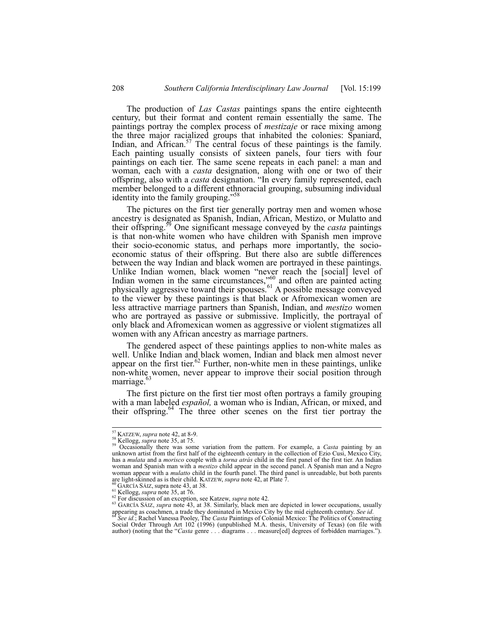The production of *Las Castas* paintings spans the entire eighteenth century, but their format and content remain essentially the same. The paintings portray the complex process of *mestizaje* or race mixing among the three major racialized groups that inhabited the colonies: Spaniard, Indian, and African.<sup>57</sup> The central focus of these paintings is the family. Each painting usually consists of sixteen panels, four tiers with four paintings on each tier. The same scene repeats in each panel: a man and woman, each with a *casta* designation, along with one or two of their offspring, also with a *casta* designation. "In every family represented, each member belonged to a different ethnoracial grouping, subsuming individual identity into the family grouping."

The pictures on the first tier generally portray men and women whose ancestry is designated as Spanish, Indian, African, Mestizo, or Mulatto and their offspring.59 One significant message conveyed by the *casta* paintings is that non-white women who have children with Spanish men improve their socio-economic status, and perhaps more importantly, the socioeconomic status of their offspring. But there also are subtle differences between the way Indian and black women are portrayed in these paintings. Unlike Indian women, black women "never reach the [social] level of Indian women in the same circumstances, $\frac{1}{200}$  and often are painted acting physically aggressive toward their spouses.<sup>61</sup> A possible message conveyed to the viewer by these paintings is that black or Afromexican women are less attractive marriage partners than Spanish, Indian, and *mestizo* women who are portrayed as passive or submissive. Implicitly, the portrayal of only black and Afromexican women as aggressive or violent stigmatizes all women with any African ancestry as marriage partners.

The gendered aspect of these paintings applies to non-white males as well. Unlike Indian and black women, Indian and black men almost never appear on the first tier.<sup>62</sup> Further, non-white men in these paintings, unlike non-white women, never appear to improve their social position through marriage.<sup>63</sup>

The first picture on the first tier most often portrays a family grouping with a man labeled *español,* a woman who is Indian, African, or mixed, and their offspring. $64$  The three other scenes on the first tier portray the

<sup>&</sup>lt;sup>57</sup> KATZEW, *supra* note 42, at 8-9.<br><sup>58</sup> Kellogg, *supra* note 35, at 75. 58<br><sup>59</sup> Occasionally there was some variation from the pattern. For example, a *Casta* painting by an unknown artist from the first half of the eighteenth century in the collection of Ezio Cusi, Mexico City, has a *mulata* and a *morisco* couple with a *torna atrás* child in the first panel of the first tier. An Indian woman and Spanish man with a *mestizo* child appear in the second panel. A Spanish man and a Negro woman appear with a *mulatto* child in the fourth panel. The third panel is unreadable, but both parents are light-skinned as is their child. KATZEW, *supra* note 42, at Plate 7.

<sup>&</sup>lt;sup>60</sup> GARCÍA SÁIZ, supra note 43, at 38.<br><sup>61</sup> Kellogg, *supra* note 35, at 76.<br><sup>62</sup> For discussion of an exception, see Katzew, *supra* note 42.<br><sup>63</sup> GARCÍA SÁIZ, *supra* note 43, at 38. Similarly, black men are depicted i appearing as coachmen, a trade they dominated in Mexico City by the mid eighteenth century. See id.

Social Order Through Art 102 (1996) (unpublished M.A. thesis, University of Texas) (on file with author) (noting that the "*Casta* genre . . . diagrams . . . measure[ed] degrees of forbidden marriages.").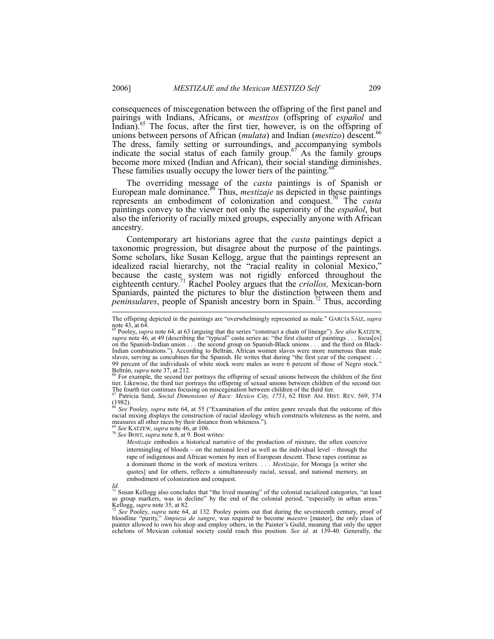consequences of miscegenation between the offspring of the first panel and pairings with Indians, Africans, or *mestizos* (offspring of *español* and Indian).<sup>65</sup> The focus, after the first tier, however, is on the offspring of unions between persons of African (*mulata*) and Indian (*mestizo*) descent.<sup>66</sup> The dress, family setting or surroundings, and accompanying symbols indicate the social status of each family group.<sup>67</sup> As the family groups become more mixed (Indian and African), their social standing diminishes. These families usually occupy the lower tiers of the painting.<sup>6</sup>

The overriding message of the *casta* paintings is of Spanish or European male dominance.<sup>69</sup> Thus, *mestizaje* as depicted in these paintings represents an embodiment of colonization and conquest.70 The *casta* paintings convey to the viewer not only the superiority of the *español*, but also the inferiority of racially mixed groups, especially anyone with African ancestry.

Contemporary art historians agree that the *casta* paintings depict a taxonomic progression, but disagree about the purpose of the paintings. Some scholars, like Susan Kellogg, argue that the paintings represent an idealized racial hierarchy, not the "racial reality in colonial Mexico," because the caste system was not rigidly enforced throughout the eighteenth century.71 Rachel Pooley argues that the *criollos,* Mexican-born Spaniards, painted the pictures to blur the distinction between them and *peninsulares*, people of Spanish ancestry born in Spain.<sup>72</sup> Thus, according

Beltrán, *supra* note 37, at 212.<br><sup>66</sup> For example, the second tier portrays the offspring of sexual unions between the children of the first tier. Likewise, the third tier portrays the offspring of sexual unions between children of the second tier. The fourth tier continues focusing on miscegenation between children of the third tier.<br><sup>67</sup> Patricia Seed, *Social Dimensions of Race: Mexico City, 1753*, 62 HISP. AM. HIST. REV. 569, 574

<sup>68</sup> See<sup>'</sup> Pooley, *supra* note 64, at 55 ("Examination of the entire genre reveals that the outcome of this racial mixing displays the construction of racial ideology which constructs whiteness as the norm, and measures all other races by their distance from whiteness.").

<sup>69</sup> *See* KATZEW, *supra* note 46, at 106. 70 *See* BOST, *supra* note 8, at 9. Bost writes:

*Mestizaje* embodies a historical narrative of the production of mixture, the often coercive intermingling of bloods – on the national level as well as the individual level – through the rape of indigenous and African women by men of European descent. These rapes continue as a dominant theme in the work of mestiza writers. . . . *Mestizaje*, for Moraga [a writer she quotes] and for others, reflects a simultaneously racial, sexual, and national memory, an embodiment of colonization and conquest.

bloodline "purity," *limpieza de sangre*, was required to become *maestro* [master], the only class of painter allowed to own his shop and employ others, in the Painter's Guild, meaning that only the upper echelons of Mexican colonial society could reach this position. See id. at 139-40. Generally, the

The offspring depicted in the paintings are "overwhelmingly represented as male." GARCÍA SÁIZ, *supra* note 43, at  $64$ .

<sup>65</sup> Pooley, *supra* note 64, at 63 (arguing that the series "construct a chain of lineage"). *See also* KATZEW, *supra* note 46, at 49 (describing the "typical" casta series as: "the first cluster of paintings . . . focus[es] on the Spanish-Indian union . . . the second group on Spanish-Black unions . . . and the third on Black-Indian combinations."). According to Beltrán, African women slaves were more numerous than male slaves, serving as concubines for the Spanish. He writes that during "the first year of the conquest . 99 percent of the individuals of white stock were males as were 6 percent of those of Negro stock."

 $(1982)$ .

Id.<br><sup>71</sup> Susan Kellogg also concludes that "the lived meaning" of the colonial racialized categories, "at least as group markers, was in decline" by the end of the colonial period, "especially in urban areas." Suban Notingg also concludes that "the lived meaning" of the colonial racialized categories, "at least as group markers, was in decline" by the end of the colonial period, "especially in urban areas."<br>Kellogg, *supra* note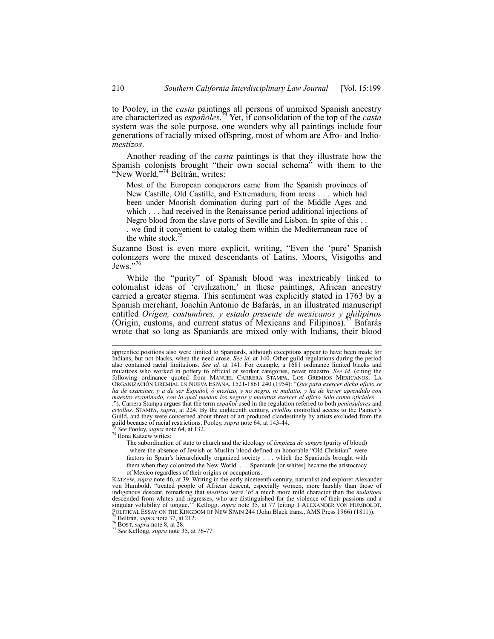to Pooley, in the *casta* paintings all persons of unmixed Spanish ancestry are characterized as *españoles*. 73 Yet, if consolidation of the top of the *casta* system was the sole purpose, one wonders why all paintings include four generations of racially mixed offspring, most of whom are Afro- and Indio*mestizos*.

Another reading of the *casta* paintings is that they illustrate how the Spanish colonists brought "their own social schema" with them to the "New World."<sup>74</sup> Beltrán, writes:

Most of the European conquerors came from the Spanish provinces of New Castille, Old Castille, and Extremadura, from areas . . . which had been under Moorish domination during part of the Middle Ages and which . . . had received in the Renaissance period additional injections of Negro blood from the slave ports of Seville and Lisbon. In spite of this . .

. we find it convenient to catalog them within the Mediterranean race of the white stock.<sup>75</sup>

Suzanne Bost is even more explicit, writing, "Even the 'pure' Spanish colonizers were the mixed descendants of Latins, Moors, Visigoths and Jews."7

While the "purity" of Spanish blood was inextricably linked to colonialist ideas of 'civilization,' in these paintings, African ancestry carried a greater stigma. This sentiment was explicitly stated in 1763 by a Spanish merchant, Joachín Antonio de Bafarás, in an illustrated manuscript entitled *Orígen, costumbres, y estado presente de mexicanos y philipinos* (Origin, customs, and current status of Mexicans and Filipinos).<sup>77</sup> Bafarás (Origin, customs, and current status of Mexicans and Filipinos).<sup>7</sup> wrote that so long as Spaniards are mixed only with Indians, their blood

The subordination of state to church and the ideology of *limpieza de sangre* (purity of blood) –where the absence of Jewish or Muslim blood defined an honorable "Old Christian"–were factors in Spain's hierarchically organized society . . . which the Spaniards brought with them when they colonized the New World. . . . Spaniards [or whites] became the aristocracy of Mexico regardless of their origins or occupations.

KATZEW, *supra* note 46, at 39. Writing in the early nineteenth century, naturalist and explorer Alexander von Humboldt "treated people of African descent, especially women, more harshly than those of indigenous descent, remarking that *mestizos* were 'of a much more mild character than the *mulattoes* descended from whites and negresses, who are distinguished for the violence of their passions and a singular volubility of tongue.'" Kellogg, *supra* note 35, at 77 (citing 1 ALEXANDER VON HUMBOLDT, POLITICAL ESSAY ON THE KINGDOM OF NEW SPAIN 244 (John Black trans., AMS Press 1966) (1811)).<br><sup>75</sup> Beltrán, *supra* note 37, at 212.<br><sup>76</sup> BOST, *supra* note 8, at 28.<br><sup>77</sup> See Kellogg, *supra* note 35, at 76-77.

apprentice positions also were limited to Spaniards, although exceptions appear to have been made for Indians, but not blacks, when the need arose. See id. at 140. Other guild regulations during the period<br>also contained racial limitations. See id. at 141. For example, a 1681 ordinance limited blacks and mulattoes who worked in pottery to official or worker categories, never maestro. *See id.* (citing the following ordinance quoted from MANUEL CARRERA STAMPA, LOS GREMIOS MEXICANOS: LA ORGANIZACIÓN GREMIAL EN NUEVA ESPAÑA, *ha de examiner, y a de ser Español, ó mestizo, y no negro, ni mulatto, y ha de haver aprendido con*  maestro examinado, con lo qual puedan los negros y mulattos exercer el oficio Solo como oficiales . .<br>."). Carrera Stampa argues that the term español used in the regulation referred to both *peninsulares* and *criollos*. STAMPA, *supra*, at 224. By the eighteenth century, *criollos* controlled access to the Painter's Guild, and they were concerned about threat of art produced clandestinely by artists excluded from the guild because of racial restrictions. Pooley, *supra* note 64, at 143-44. 73 *See* Pooley, *supra* note 64, at 132. 74 Ilona Katzew writes: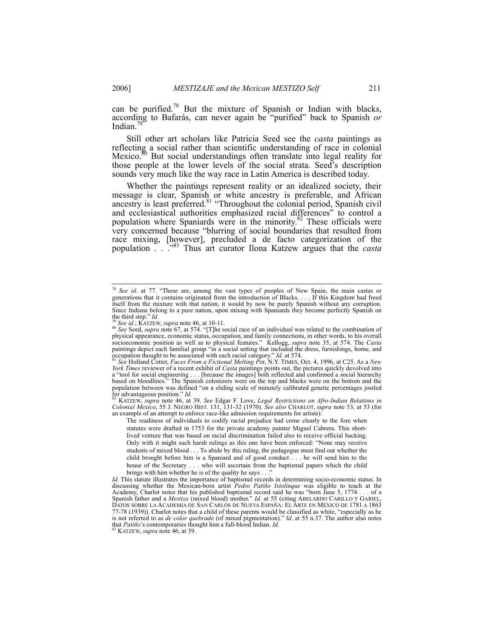can be purified.<sup>78</sup> But the mixture of Spanish or Indian with blacks, according to Bafarás, can never again be "purified" back to Spanish *or* Indian. $<sup>7</sup>$ </sup>

Still other art scholars like Patricia Seed see the *casta* paintings as reflecting a social rather than scientific understanding of race in colonial Mexico. $80$  But social understandings often translate into legal reality for those people at the lower levels of the social strata. Seed's description sounds very much like the way race in Latin America is described today.

Whether the paintings represent reality or an idealized society, their message is clear, Spanish or white ancestry is preferable, and African ancestry is least preferred.<sup>81</sup> "Throughout the colonial period, Spanish civil and ecclesiastical authorities emphasized racial differences" to control a population where Spaniards were in the minority.<sup>82</sup> These officials were very concerned because "blurring of social boundaries that resulted from race mixing, [however], precluded a de facto categorization of the population . . ."83 Thus art curator Ilona Katzew argues that the *casta*

*Colonial Mexico*, 55 J. NEGRO HIST. 131, 131-32 (1970). *See also* CHARLOT, *supra* note 53, at 53 (for an example of an attempt to enforce race-like admission requirements for artists):

The readiness of individuals to codify racial prejudice had come clearly to the fore when statutes were drafted in 1753 for the private academy painter Miguel Cabrera. This shortlived venture that was based on racial discrimination failed also to receive official backing. Only with it might such harsh rulings as this one have been enforced: "None may receive students of mixed blood . . . To abide by this ruling, the pedagogue must find out whether the child brought before him is a Spaniard and of good conduct . . . he will send him to the house of the Secretary . . . who will ascertain from the baptismal papers which the child brings with him whether he is of the quality he says  $\ldots$ 

*Id.* This statute illustrates the importance of baptismal records in determining socio-economic status. In discussing whether the Mexican-born artist *Pedro Patiño Ixtolinque* was eligible to teach at the Academy, Charlot notes that his published baptismal record said he was "born June 5, 1774 . . . of a Spanish father and a *Mestiza* (mixed blood) mother." *Id.* at 55 (citing ABELARDO CARILLO Y GARIEL, DATOS SOBRE LA ACADEMIA DE SAN CARLOS DE NUEVA ESPAÑA: EL ARTE EN MÉXICO DE 1781 A 1863 77-78 (1939)). Charlot notes that a child of these parents would be classified as white, "especially as he is not referred to as *de color quebrado* (of mixed pigmentation)." *Id.* at 55 n.37. The author also notes that *Patiño*'s contemporaries thought him a full-blood Indian. *Id.* <sup>83</sup> KATZEW, *supra* note 46, at 39.

 <sup>78</sup> *See id.* at 77. "These are, among the vast types of peoples of New Spain, the main castas or generations that it contains originated from the introduction of Blacks. . . . If this Kingdom had freed itself from the mixture with that nation, it would by now be purely Spanish without any corruption. Since Indians belong to a pure nation, upon mixing with Spaniards they become perfectly Spanish on

the third step." *Id.* <sup>79</sup> *See id.*; KATZEW, *supra* note 46, at 10-11. <sup>80</sup> *See* Seed, *supra* note 67, at 574. "[T]he social race of an individual was related to the combination of physical appearance, economic status, occupation, and family connections, in other words, to his overall socioeconomic position as well as to physical features." Kellogg, *supra* note 35, at 574. The *Casta* paintings depict each familial group "in a social setting that included the dress, furnishings, home, and occupation thought to be associated with each racial category." *Id.* at 574. 81 *See* Holland Cotter, *Faces From a Fictional Melting Pot*, N.Y. TIMES, Oct. 4, 1996, at C25. As a *New* 

*York Times* reviewer of a recent exhibit of *Casta* paintings points out, the pictures quickly devolved into a "tool for social engineering . . . [because the images] both reflected and confirmed a social hierarchy based on bloodlines." The Spanish colonizers were on the top and blacks were on the bottom and the population between was defined "on a sliding scale of minutely calibrated genetic percentages jostled<br>for advantageous position."  $Id$ . for advantageous position." *Id.* 82 KM and *See Edgar F. Love, Legal Restrictions on Afro-Indian Relations in* <sup>82</sup> KATZEW, *supra* note 46, at 39. *See Edgar F. Love, Legal Restrictions on Afro-Indian Relations in*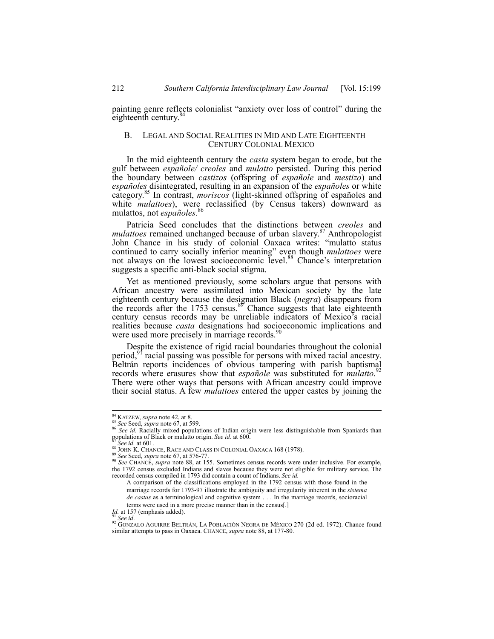painting genre reflects colonialist "anxiety over loss of control" during the eighteenth century. $\delta$ 

## B. LEGAL AND SOCIAL REALITIES IN MID AND LATE EIGHTEENTH CENTURY COLONIAL MEXICO

In the mid eighteenth century the *casta* system began to erode, but the gulf between *españole/ creoles* and *mulatto* persisted. During this period the boundary between *castizos* (offspring of *españole* and *mestizo*) and *españoles* disintegrated, resulting in an expansion of the *españoles* or white category.85 In contrast, *moriscos* (light-skinned offspring of españoles and white *mulattoes*), were reclassified (by Census takers) downward as mulattoe not expañales <sup>86</sup> mulattos, not *españoles*.

Patricia Seed concludes that the distinctions between *creoles* and *mulattoes* remained unchanged because of urban slavery.<sup>87</sup> Anthropologist John Chance in his study of colonial Oaxaca writes: "mulatto status continued to carry socially inferior meaning" even though *mulattoes* were not always on the lowest socioeconomic level.<sup>88</sup> Chance's interpretation suggests a specific anti-black social stigma.

Yet as mentioned previously, some scholars argue that persons with African ancestry were assimilated into Mexican society by the late eighteenth century because the designation Black (*negra*) disappears from the records after the 1753 census.<sup>89</sup> Chance suggests that late eighteenth century census records may be unreliable indicators of Mexico's racial realities because *casta* designations had socioeconomic implications and were used more precisely in marriage records.<sup>90</sup>

Despite the existence of rigid racial boundaries throughout the colonial period,<sup>91</sup> racial passing was possible for persons with mixed racial ancestry. Beltrán reports incidences of obvious tampering with parish baptismal records where erasures show that *españole* was substituted for *mulatto*. 92 There were other ways that persons with African ancestry could improve their social status. A few *mulattoes* entered the upper castes by joining the

<sup>&</sup>lt;sup>84</sup> KATZEW, *supra* note 42, at 8.<br><sup>85</sup> *See* Seed, *supra* note 67, at 599.<br><sup>86</sup> *See id.* Racially mixed populations of Indian origin were less distinguishable from Spaniards than populations of Black or mulatto origin.

<sup>&</sup>lt;sup>87</sup> See id. at 601.<br><sup>88</sup> JOHN K. CHANCE, RACE AND CLASS IN COLONIAL OAXACA 168 (1978).<br><sup>89</sup> See Seed, *supra* note 67, at 576-77.<br><sup>90</sup> See CHANCE, *supra* note 88, at 155. Sometimes census records were under inclusive. F the 1792 census excluded Indians and slaves because they were not eligible for military service. The recorded census compiled in 1793 did contain a count of Indians. *See id.*

A comparison of the classifications employed in the 1792 census with those found in the marriage records for 1793-97 illustrate the ambiguity and irregularity inherent in the *sistema de castas* as a terminological and cognitive system . . . In the marriage records, socioracial terms were used in a more precise manner than in the census[.]  $I_d$ . at 157 (emphasis added).

<sup>&</sup>lt;sup>91</sup> See id. <sup>31</sup> *See id.* 92 *See id.* 92 *See id.* 92 *See id.* 92 *See id.* 92 *See id.* 92 *See id.* 92 *See id.* 92 *See id. 972 See id. 1972*. Chance found similar attempts to pass in Oaxaca. CHANCE, *supra* note 88, at 177-80.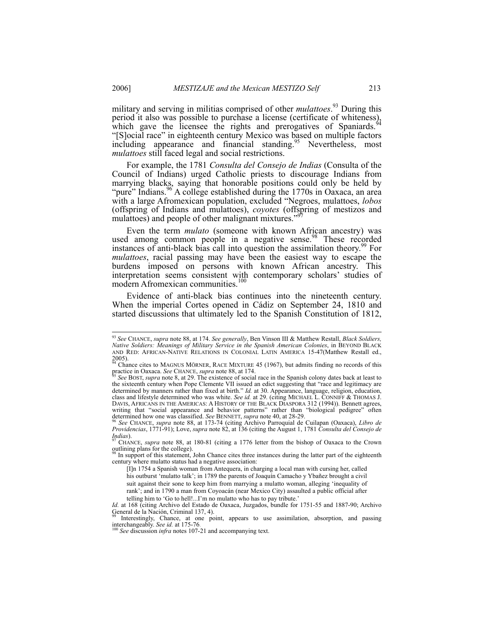military and serving in militias comprised of other *mulattoes*. 93 During this period it also was possible to purchase a license (certificate of whiteness), which gave the licensee the rights and prerogatives of Spaniards.<sup>94</sup> "[S]ocial race" in eighteenth century Mexico was based on multiple factors including appearance and financial standing.<sup>95</sup> Nevertheless, most *mulattoes* still faced legal and social restrictions.

For example, the 1781 *Consulta del Consejo de Indias* (Consulta of the Council of Indians) urged Catholic priests to discourage Indians from marrying blacks, saying that honorable positions could only be held by "pure" Indians.<sup>96</sup> A college established during the 1770s in Oaxaca, an area with a large Afromexican population, excluded "Negroes, mulattoes, *lobos* (offspring of Indians and mulattoes), *coyotes* (offspring of mestizos and mulattoes) and people of other malignant mixtures.'

Even the term *mulato* (someone with known African ancestry) was used among common people in a negative sense.<sup>98</sup> These recorded instances of anti-black bias call into question the assimilation theory.<sup>99</sup> For *mulattoes*, racial passing may have been the easiest way to escape the burdens imposed on persons with known African ancestry. This interpretation seems consistent with contemporary scholars' studies of modern Afromexican communities.<sup>100</sup>

Evidence of anti-black bias continues into the nineteenth century. When the imperial Cortes opened in Cádiz on September 24, 1810 and started discussions that ultimately led to the Spanish Constitution of 1812,

<sup>99</sup> Interestingly, Chance, at one point, appears to use assimilation, absorption, and passing interchangeably. *See id.* at 175-76. 100 *See discussion <i>infra* notes 107-21 and accompanying text.

 <sup>93</sup> *See* CHANCE, *supra* note 88, at 174. *See generally*, Ben Vinson III & Matthew Restall, *Black Soldiers, Native Soldiers: Meanings of Military Service in the Spanish American Colonies*, in BEYOND BLACK AND RED: AFRICAN-NATIVE RELATIONS IN COLONIAL LATIN AMERICA 15-47(Matthew Restall ed., 2005). 94 Chance cites to MAGNUS MÖRNER, RACE MIXTURE 45 (1967), but admits finding no records of this

practice in Oaxaca. *See CHANCE, supra* note 88, at 174. <sup>95</sup> *See BOST, supra* note 8, at 29. The existence of social race in the Spanish colony dates back at least to <sup>95</sup> *See BOST, supra* note 8, at 29. The existence o

the sixteenth century when Pope Clemente VII issued an edict suggesting that "race and legitimacy are determined by manners rather than fixed at birth." *Id.* at 30. Appearance, language, religion, education, class and lifestyle determined who was white. *See id.* at 29. (citing MICHAEL L. CONNIFF & THOMAS J.<br>DAVIS, AFRICANS IN THE AMERICAS: A HISTORY OF THE BLACK DIASPORA 312 (1994)). Bennett agrees, writing that "social appearance and behavior patterns" rather than "biological pedigree" often determined how one was classified. See BENNETT, supra note 40, at 28-29.

determined how one was classified. *See* BENNETT, *supra* note 40, at 28-29. 96 *See* CHANCE, *supra* note 88, at 173-74 (citing Archivo Parroquial de Cuilapan (Oaxaca), *Libro de Providencias*, 1771-91); Love, *supra* note 82, at 136 (citing the August 1, 1781 *Consulta del Consejo de Indias*).<br><sup>97</sup> CHANCE, *supra* note 88, at 180-81 (citing a 1776 letter from the bishop of Oaxaca to the Crown

outlining plans for the college).

In support of this statement, John Chance cites three instances during the latter part of the eighteenth century where mulatto status had a negative association:

<sup>[</sup>I]n 1754 a Spanish woman from Antequera, in charging a local man with cursing her, called his outburst 'mulatto talk'; in 1789 the parents of Joaquín Camacho y Ybañez brought a civil suit against their sone to keep him from marrying a mulatto woman, alleging 'inequality of rank'; and in 1790 a man from Coyoacán (near Mexico City) assaulted a public official after telling him to 'Go to hell!...I'm no mulatto who has to pay tribute.'

*Id.* at 168 (citing Archivo del Estado de Oaxaca, Juzgados, bundle for 1751-55 and 1887-90; Archivo General de la Nación, Criminal 137, 4).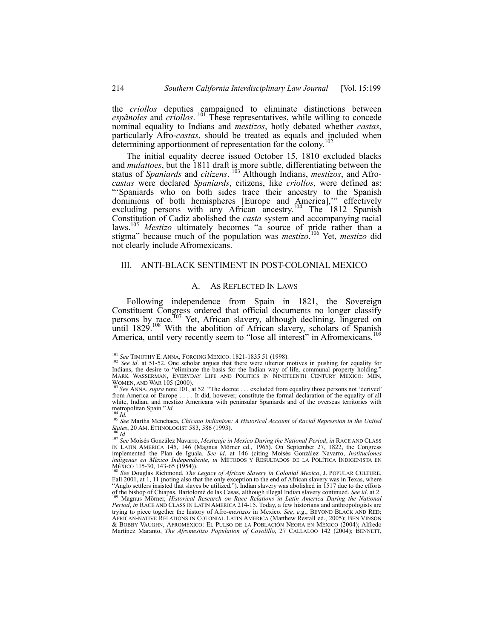the *criollos* deputies campaigned to eliminate distinctions between *espãnoles* and *criollos*. 101 These representatives, while willing to concede nominal equality to Indians and *mestizos*, hotly debated whether *castas*, particularly Afro-*castas*, should be treated as equals and included when determining apportionment of representation for the colony.<sup>102</sup>

The initial equality decree issued October 15, 1810 excluded blacks and *mulattoes*, but the 1811 draft is more subtle, differentiating between the status of *Spaniards* and *citizens*. 103 Although Indians, *mestizos*, and Afro*castas* were declared *Spaniards*, citizens, like *criollos*, were defined as: "Spaniards who on both sides trace their ancestry to the Spanish dominions of both hemispheres [Europe and America],'" effectively excluding persons with any African ancestry.<sup>104</sup> The 1812 Spanish Constitution of Cadiz abolished the *casta* system and accompanying racial laws.<sup>105</sup> *Mestizo* ultimately becomes "a source of pride rather than a stigma" because much of the population was *mestizo*. 106 Yet, *mestizo* did not clearly include Afromexicans.

## III. ANTI-BLACK SENTIMENT IN POST-COLONIAL MEXICO

#### A. AS REFLECTED IN LAWS

Following independence from Spain in 1821, the Sovereign Constituent Congress ordered that official documents no longer classify persons by race.<sup>107</sup> Yet, African slavery, although declining, lingered on until 1829.<sup>108</sup> With the abolition of African slavery, scholars of Spanish America, until very recently seem to "lose all interest" in Afromexicans.

<sup>&</sup>lt;sup>101</sup> See TIMOTHY E. ANNA, FORGING MEXICO: 1821-1835 51 (1998).<br><sup>102</sup> See id. at 51-52. One scholar argues that there were ulterior motives in pushing for equality for Indians, the desire to "eliminate the basis for the I MARK WASSERMAN, EVERYDAY LIFE AND POLITICS IN NINETEENTH CENTURY MEXICO: MEN,

WOMEN, AND WAR 105 (2000).<br><sup>103</sup> *See ANNA, supra* note 101, at 52. "The decree . . . excluded from equality those persons not 'derived' from America or Europe . . . . It did, however, constitute the formal declaration of the equality of all white, Indian, and mestizo Americans with peninsular Spaniards and of the overseas territories with  $\frac{\text{mat}}{\text{out}}$  topolitan Spain." *Id.* 

<sup>&</sup>lt;sup>104</sup> *Id.* <sup>105</sup> *Id.* <sup>105</sup> *Id.* <sup>105</sup> *See* Martha Menchaca, *Chicano Indianism: A Historical Account of Racial Repression in the United States, 20 AM. ETHNOLOGIST 583, 586 (1993).* 

<sup>&</sup>lt;sup>106</sup> Id.<br><sup>107</sup> See Moisés González Navarro, *Mestizaje in Mexico During the National Period*, *in* RACE AND CLASS IN LATIN AMERICA 145, 146 (Magnus Mörner ed., 1965). On September 27, 1822, the Congress implemented the Plan de Iguala. *See id*. at 146 (citing Moisés González Navarro, *Instituciones indígenas en México Independiente*, *in* MÉTODOS Y RESULTADOS DE LA POLÍTICA INDIGENISTA EN MÉXICO 115-30, 143-65 (1954)).

See Douglas Richmond, *The Legacy of African Slavery in Colonial Mexico*, J. POPULAR CULTURE, Fall 2001, at 1, 11 (noting also that the only exception to the end of African slavery was in Texas, where "Anglo settlers insisted that slaves be utilized."). Indian slavery was abolished in 1517 due to the efforts

of the bishop of Chiapas, Bartolomé de las Casas, although illegal Indian slavery continued. See id. at 2.<br><sup>109</sup> Magnus Mörner, *Historical Research on Race Relations in Latin America During the National Period, in RACE AN* trying to piece together the history of Afro-*mestizos* in Mexico. *See, e.*g., BEYOND BLACK AND RED:<br>AFRICAN-NATIVE RELATIONS IN COLONIAL LATIN AMERICA (Matthew Restall ed., 2005); BEN VINSON<br>& BOBBY VAUGHN, AFROMÉXICO: E Martínez Maranto, *The Afromestizo Population of Coyolillo*, 27 CALLALOO 142 (2004); BENNETT,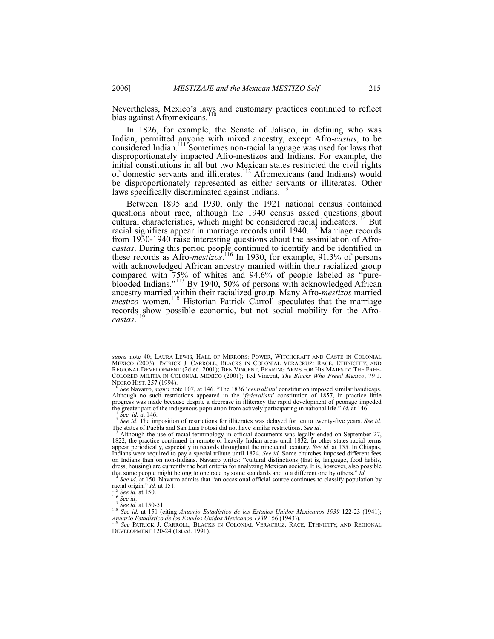Nevertheless, Mexico's laws and customary practices continued to reflect bias against Afromexicans.<sup>110</sup>

In 1826, for example, the Senate of Jalisco, in defining who was Indian, permitted anyone with mixed ancestry, except Afro-*castas*, to be considered Indian.<sup>111</sup> Sometimes non-racial language was used for laws that disproportionately impacted Afro-mestizos and Indians. For example, the initial constitutions in all but two Mexican states restricted the civil rights of domestic servants and illiterates.112 Afromexicans (and Indians) would be disproportionately represented as either servants or illiterates. Other laws specifically discriminated against Indians.

Between 1895 and 1930, only the 1921 national census contained questions about race, although the 1940 census asked questions about cultural characteristics, which might be considered racial indicators.<sup>114</sup> But racial signifiers appear in marriage records until 1940.<sup>115</sup> Marriage records from 1930-1940 raise interesting questions about the assimilation of Afro*castas*. During this period people continued to identify and be identified in these records as Afro-*mestizos*. 116 In 1930, for example, 91.3% of persons with acknowledged African ancestry married within their racialized group compared with 75% of whites and 94.6% of people labeled as "pureblooded Indians."117 By 1940, 50% of persons with acknowledged African ancestry married within their racialized group. Many Afro-*mestizos* married *mestizo* women.<sup>118</sup> Historian Patrick Carroll speculates that the marriage records show possible economic, but not social mobility for the Afro*castas*. 119

l

*supra* note 40; LAURA LEWIS, HALL OF MIRRORS: POWER, WITCHCRAFT AND CASTE IN COLONIAL MEXICO (2003); PATRICK J. CARROLL, BLACKS IN COLONIAL VERACRUZ: RACE, ETHNICITIY, AND REGIONAL DEVELOPMENT (2d ed. 2001); BEN VINCENT, BEARING ARMS FOR HIS MAJESTY: THE FREE-COLORED MILITIA IN COLONIAL MEXICO (2001); Ted Vincent, *The Blacks Who Freed Mexico*, 79 J. NEGRO HIST. 257 (1994). <sup>110</sup> *See* Navarro, *supra* note 107, at 146. "The 1836 '*centralista*' constitution imposed similar handicaps.

Although no such restrictions appeared in the *'federalista'* constitution of 1857, in practice little progress was made because despite a decrease in illiteracy the rapid development of peonage impeded the greater part o

The states of Puebla and San Luis Potosí did not have similar restrictions. *See id.*<br>The states of Puebla and San Luis Potosí did not have similar restrictions. *See id.*<br><sup>113</sup> Although the use of racial terminology in of

<sup>1822,</sup> the practice continued in remote or heavily Indian areas until 1832. In other states racial terms appear periodically, especially in records throughout the nineteenth century. *See id.* at 155. In Chiapas, Indians were required to pay a special tribute until 1824. *See id*. Some churches imposed different fees on Indians than on non-Indians. Navarro writes: "cultural distinctions (that is, language, food habits, dress, housing) are currently the best criteria for analyzing Mexican society. It is, however, also possible

that some people might belong to one race by some standards and to a different one by others." *Id.* <sup>114</sup> *See id.* at 150. Navarro admits that "an occasional official source continues to classify population by racial ori

<sup>&</sup>lt;sup>115</sup> See id. at 150.<br><sup>116</sup> See id. at 150-51.<br><sup>117</sup> See id. at 150-51.<br><sup>117</sup> See id. at 151 (citing *Anuario Estadístico de los Estados Unidos Mexicanos 1939* 122-23 (1941);<br>*Anuario Estadístico de los Estados Unidos Mexi* 

*Anuario Estadístico de los Estados Unidos Mexicanos 1939* 156 (1943)). 119 *See* PATRICK J. CARROLL, BLACKS IN COLONIAL VERACRUZ: RACE, ETHNICITY, AND REGIONAL DEVELOPMENT 120-24 (1st ed. 1991).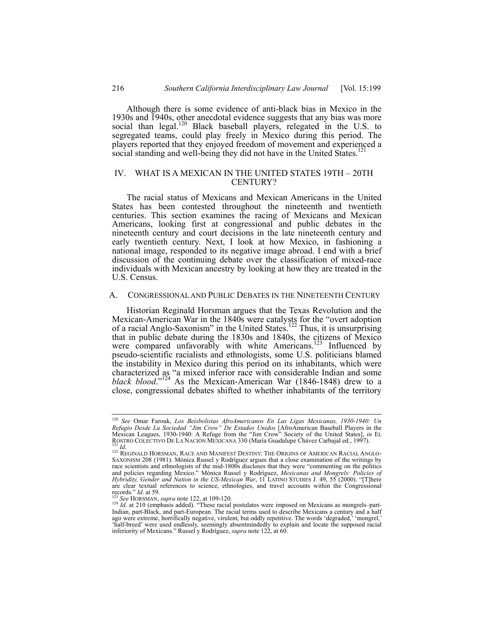Although there is some evidence of anti-black bias in Mexico in the 1930s and 1940s, other anecdotal evidence suggests that any bias was more social than legal.<sup>120</sup> Black baseball players, relegated in the U.S. to segregated teams, could play freely in Mexico during this period. The players reported that they enjoyed freedom of movement and experienced a social standing and well-being they did not have in the United States.<sup>121</sup>

# IV. WHAT IS A MEXICAN IN THE UNITED STATES 19TH – 20TH CENTURY?

The racial status of Mexicans and Mexican Americans in the United States has been contested throughout the nineteenth and twentieth centuries. This section examines the racing of Mexicans and Mexican Americans, looking first at congressional and public debates in the nineteenth century and court decisions in the late nineteenth century and early twentieth century. Next, I look at how Mexico, in fashioning a national image, responded to its negative image abroad. I end with a brief discussion of the continuing debate over the classification of mixed-race individuals with Mexican ancestry by looking at how they are treated in the U.S. Census.

## A. CONGRESSIONAL AND PUBLIC DEBATES IN THE NINETEENTH CENTURY

Historian Reginald Horsman argues that the Texas Revolution and the Mexican-American War in the 1840s were catalysts for the "overt adoption of a racial Anglo-Saxonism" in the United States.<sup>122</sup> Thus, it is unsurprising that in public debate during the 1830s and 1840s, the citizens of Mexico were compared unfavorably with white Americans.<sup>123</sup> Influenced by pseudo-scientific racialists and ethnologists, some U.S. politicians blamed the instability in Mexico during this period on its inhabitants, which were characterized as "a mixed inferior race with considerable Indian and some *black blood*."124 As the Mexican-American War (1846-1848) drew to a close, congressional debates shifted to whether inhabitants of the territory

 <sup>120</sup> *See* Omar Farouk, *Los Beisbolistas AfroAmericanos En Las Ligas Mexicanas, 1930-1940: Un Refugio Desde La Sociedad "Jim Crow" De Estados Unidos* [AfroAmerican Baseball Players in the Mexican Leagues, 1930-1940: A Refuge from the "Jim Crow" Society of the United States], *in* EL<br>ROSTRO COLECTIVO DE LA NACIÓN MEXICANA 330 (María Guadalupe Chávez Carbajal ed., 1997).<br><sup>121</sup> Id. (2008). REGINALD HORSMAN, RA

<sup>&</sup>lt;sup>122</sup> REGINALD HORSMAN, RACE AND MANIFEST DESTINY: THE ORIGINS OF AMERICAN RACIAL ANGLO-<br>SAXONISM 208 (1981). Mónica Russel y Rodríguez argues that a close examination of the writings by race scientists and ethnologists of the mid-1800s discloses that they were "commenting on the politics and policies regarding Mexico." Mónica Russel y Rodríguez, *Mexicanas and Mongrels: Policies of Hybridity, Gender and Nation in the US-Mexican War*, 11 LATINO STUDIES J. 49, 55 (2000). "[T]here are clear textual references to science, ethnologies, and travel accounts within the Congressional records."  $Id$  at 59.

<sup>&</sup>lt;sup>123</sup> *See* HORSMAN, *supra* note 122, at 109-120.<br><sup>124</sup> *Id*. at 210 (emphasis added). "These racial postulates were imposed on Mexicans as mongrels–part-Indian, part-Black, and part-European. The racial terms used to describe Mexicans a century and a half<br>ago were extreme, horrifically negative, virulent, but oddly repetitive. The words 'degraded,' 'mongrel,'<br>'half-breed' inferiority of Mexicans." Russel y Rodríguez, *supra* note 122, at 60.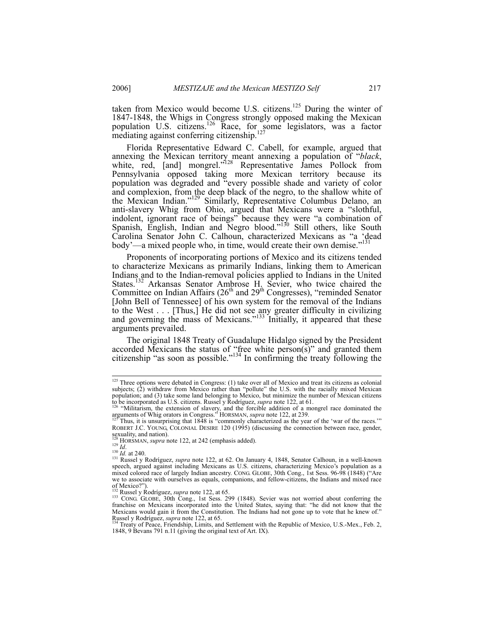taken from Mexico would become U.S. citizens.<sup>125</sup> During the winter of 1847-1848, the Whigs in Congress strongly opposed making the Mexican population U.S. citizens.<sup>126</sup> Race, for some legislators, was a factor mediating against conferring citizenship. $127$ 

Florida Representative Edward C. Cabell, for example, argued that annexing the Mexican territory meant annexing a population of "*black*, white, red, [and] mongrel."<sup>128</sup> Representative James Pollock from Pennsylvania opposed taking more Mexican territory because its population was degraded and "every possible shade and variety of color and complexion, from the deep black of the negro, to the shallow white of the Mexican Indian."129 Similarly, Representative Columbus Delano, an anti-slavery Whig from Ohio, argued that Mexicans were a "slothful, indolent, ignorant race of beings" because they were "a combination of Spanish, English, Indian and Negro blood."<sup>130</sup> Still others, like South Carolina Senator John C. Calhoun, characterized Mexicans as "a 'dead body'—a mixed people who, in time, would create their own demise."<sup>13</sup>

Proponents of incorporating portions of Mexico and its citizens tended to characterize Mexicans as primarily Indians, linking them to American Indians and to the Indian-removal policies applied to Indians in the United States.<sup>132</sup> Arkansas Senator Ambrose H. Sevier, who twice chaired the Committee on Indian Affairs  $(26<sup>th</sup>$  and  $29<sup>th</sup>$  Congresses), "reminded Senator [John Bell of Tennessee] of his own system for the removal of the Indians to the West . . . [Thus,] He did not see any greater difficulty in civilizing and governing the mass of Mexicans."<sup>133</sup> Initially, it appeared that these arguments prevailed.

The original 1848 Treaty of Guadalupe Hidalgo signed by the President accorded Mexicans the status of "free white person(s)" and granted them citizenship "as soon as possible."<sup>134</sup> In confirming the treaty following the

<sup>&</sup>lt;sup>125</sup> Three options were debated in Congress: (1) take over all of Mexico and treat its citizens as colonial subjects; (2) withdraw from Mexico rather than "pollute" the U.S. with the racially mixed Mexican population; and (3) take some land belonging to Mexico, but minimize the number of Mexican citizens

to be incorporated as U.S. citizens. Russel y Rodríguez, *supra* note 122, at 61.<br><sup>126</sup> "Militarism, the extension of slavery, and the forcible addition of a mongrel race dominated the arguments of Whig orators in Congress." HORSMAN, *supra* note 122, at 239.<br><sup>127</sup> Thus, it is unsurprising that 1848 is "commonly characterized as the year of the 'war of the races."

The Thus, it is unsurprising that 1848 is "commonly characterized as the year of the 'war of the races."<br>ROBERT J.C. YOUNG, COLONIAL DESIRE 120 (1995) (discussing the connection between race, gender, sexuality, and nation).

<sup>&</sup>lt;sup>328</sup> HORSMAN, *supra* note 122, at 242 (emphasis added).<br><sup>129</sup> *Id.* 130 *Id.* at 240.<br><sup>131</sup> Russel y Rodríguez, *supra* note 122, at 62. On January 4, 1848, Senator Calhoun, in a well-known speech, argued against including Mexicans as U.S. citizens, characterizing Mexico's population as a mixed colored race of largely Indian ancestry. CONG. GLOBE, 30th Cong., 1st Sess. 96-98 (1848) ("Are we to associate with ourselves as equals, companions, and fellow-citizens, the Indians and mixed race of Mexico?").<br>of Mexico?").<br> $^{132}$  Russel y Rodríguez, *supra* note 122, at 65.

<sup>&</sup>lt;sup>132</sup> Russel y Rodríguez, *supra* note 122, at 65.<br><sup>133</sup> CONG. GLOBE, 30th Cong., 1st Sess. 299 (1848). Sevier was not worried about conferring the franchise on Mexicans incorporated into the United States, saying that: "h Mexicans would gain it from the Constitution. The Indians had not gone up to vote that he knew of."<br>Russel y Rodríguez, *supra* note 122, at 65.

Treaty of Peace, Friendship, Limits, and Settlement with the Republic of Mexico, U.S.-Mex., Feb. 2, 1848, 9 Bevans 791 n.11 (giving the original text of Art. IX).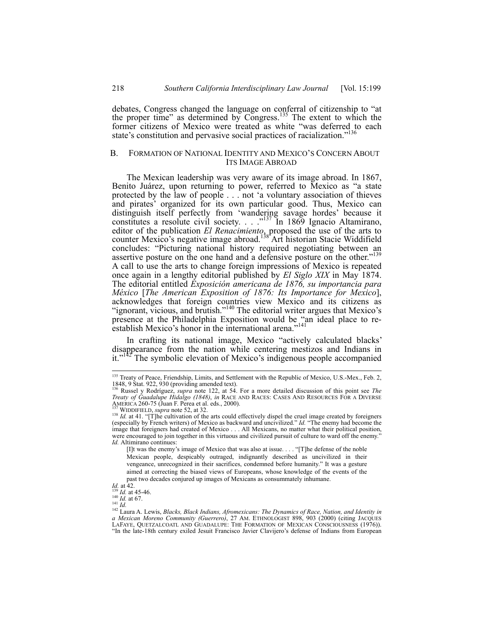debates, Congress changed the language on conferral of citizenship to "at the proper time" as determined by Congress.<sup>135</sup> The extent to which the former citizens of Mexico were treated as white "was deferred to each state's constitution and pervasive social practices of racialization."<sup>136</sup>

## B. FORMATION OF NATIONAL IDENTITY AND MEXICO'S CONCERN ABOUT ITS IMAGE ABROAD

The Mexican leadership was very aware of its image abroad. In 1867, Benito Juárez, upon returning to power, referred to Mexico as "a state protected by the law of people . . . not 'a voluntary association of thieves and pirates' organized for its own particular good. Thus, Mexico can distinguish itself perfectly from 'wandering savage hordes' because it constitutes a resolute civil society. . . ."137 In 1869 Ignacio Altamirano, editor of the publication *El Renacimiento*, proposed the use of the arts to counter Mexico's negative image abroad.<sup>138</sup>Art historian Stacie Widdifield concludes: "Picturing national history required negotiating between an assertive posture on the one hand and a defensive posture on the other."<sup>139</sup> A call to use the arts to change foreign impressions of Mexico is repeated once again in a lengthy editorial published by *El Siglo XIX* in May 1874. The editorial entitled *Exposición americana de 1876, su importancia para México* [*The American Exposition of 1876: Its Importance for Mexico*], acknowledges that foreign countries view Mexico and its citizens as "ignorant, vicious, and brutish."<sup>140</sup> The editorial writer argues that Mexico's presence at the Philadelphia Exposition would be "an ideal place to reestablish Mexico's honor in the international arena."<sup>141</sup>

In crafting its national image, Mexico "actively calculated blacks' disappearance from the nation while centering mestizos and Indians in it."<sup>147</sup> The symbolic elevation of Mexico's indigenous people accompanied

<sup>&</sup>lt;sup>135</sup> Treaty of Peace, Friendship, Limits, and Settlement with the Republic of Mexico, U.S.-Mex., Feb. 2, 1848, 9 Stat. 922, 930 (providing amended text).

<sup>136</sup> Russel y Rodríguez, *supra* note 122, at 54. For a more detailed discussion of this point see *The Treaty of Guadalupe Hidalgo (1848)*, *in* RACE AND RACES: CASES AND RESOURCES FOR A DIVERSE<br>AMERICA 2000.<br>AMERICA 2000).

<sup>&</sup>lt;sup>137</sup> WIDDIFIELD, *supra* note 52, at 32.<br><sup>138</sup> *Id.* at 41. "[T]he cultivation of the arts could effectively dispel the cruel image created by foreigners (especially by French writers) of Mexico as backward and uncivilized." *Id.* "The enemy had become the image that foreigners had created of Mexico . . . All Mexicans, no matter what their political position, were encouraged to join together in this virtuous and civilized pursuit of culture to ward off the enemy. *Id.* Altimirano continues:

<sup>[</sup>I]t was the enemy's image of Mexico that was also at issue. . . . "[T]he defense of the noble Mexican people, despicably outraged, indignantly described as uncivilized in their vengeance, unrecognized in their sacrifices, condemned before humanity." It was a gesture aimed at correcting the biased views of Europeans, whose knowledge of the events of the past two decades conjured up images of Mexicans as consummately inhumane.<br>Id. at 42.<br> $^{139}$  Id. at 45-46.<br> $^{140}$  Id. at 67.

*Id. at 67.*<br><sup>141</sup> *Id. Id. Lewis, Blacks, Black Indians, Afromexicans: The Dynamics of Race, Nation, and Identity in* <sup>142</sup> Laura A. Lewis, *Blacks, Black Indians, Afromexicans: The Dynamics of Race, Nation, and Ident a Mexican Moreno Community (Guerrero)*, 27 AM. ETHNOLOGIST 898, 903 (2000) (citing JACQUES LAFAYE, QUETZALCOATL AND GUADALUPE: THE FORMATION OF MEXICAN CONSCIOUSNESS (1976)). "In the late-18th century exiled Jesuit Francisco Javier Clavijero's defense of Indians from European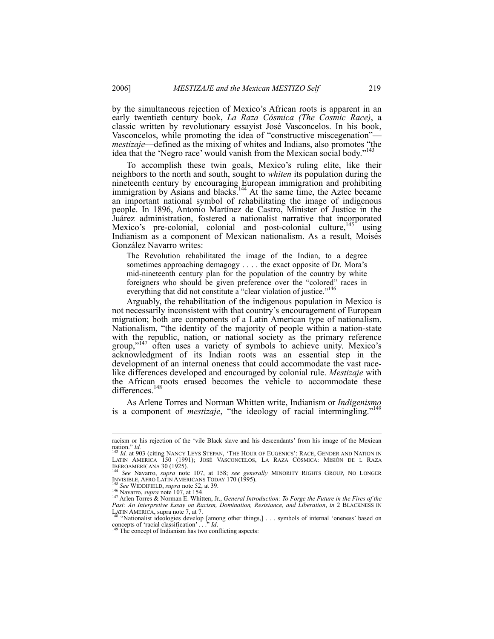by the simultaneous rejection of Mexico's African roots is apparent in an early twentieth century book, *La Raza Cósmica (The Cosmic Race)*, a classic written by revolutionary essayist José Vasconcelos. In his book, Vasconcelos, while promoting the idea of "constructive miscegenation" *mestizaje*—defined as the mixing of whites and Indians, also promotes "the idea that the 'Negro race' would vanish from the Mexican social body."<sup>143</sup>

To accomplish these twin goals, Mexico's ruling elite, like their neighbors to the north and south, sought to *whiten* its population during the nineteenth century by encouraging European immigration and prohibiting immigration by Asians and blacks.<sup>144</sup> At the same time, the Aztec became an important national symbol of rehabilitating the image of indigenous people. In 1896, Antonio Martínez de Castro, Minister of Justice in the Juárez administration, fostered a nationalist narrative that incorporated Mexico's pre-colonial, colonial and post-colonial culture,<sup>145</sup> using Indianism as a component of Mexican nationalism. As a result, Moisés González Navarro writes:

The Revolution rehabilitated the image of the Indian, to a degree sometimes approaching demagogy . . . . the exact opposite of Dr. Mora's mid-nineteenth century plan for the population of the country by white foreigners who should be given preference over the "colored" races in everything that did not constitute a "clear violation of justice."<sup>146</sup>

Arguably, the rehabilitation of the indigenous population in Mexico is not necessarily inconsistent with that country's encouragement of European migration; both are components of a Latin American type of nationalism. Nationalism, "the identity of the majority of people within a nation-state with the republic, nation, or national society as the primary reference group,"<sup>147</sup> often uses a variety of symbols to achieve unity. Mexico's acknowledgment of its Indian roots was an essential step in the development of an internal oneness that could accommodate the vast racelike differences developed and encouraged by colonial rule. *Mestizaje* with the African roots erased becomes the vehicle to accommodate these differences.<sup>148</sup>

As Arlene Torres and Norman Whitten write, Indianism or *Indigenismo* is a component of *mestizaje*, "the ideology of racial intermingling."149

racism or his rejection of the 'vile Black slave and his descendants' from his image of the Mexican

nation." *Id.*<br><sup>143</sup> *Id.* at 903 (citing Nancy Leys Stepan, 'The Hour of Eugenics': Race, Gender and Nation in<br>Latin America 150 (1991); José Vasconcelos, La Raza Cósmica: Misión de l Raza

IBEROAMERICANA 30 (1925). <sup>244</sup> *See* Navarro, *supra* note 107, at 158; *see generally* MINORITY RIGHTS GROUP, NO LONGER INVISIBLE, AFRO LATIN AMERICANS TODAY 170 (1995).

INVISIBLE, AFRO LATIN AMERICANS TODAY 170 (1995).<br><sup>146</sup> See WIDDIFIELD, *supra* note 52, at 39.<br><sup>146</sup> Navarro, *supra* note 107, at 154.<br><sup>147</sup> Arlen Torres & Norman E. Whitten, Jr., *General Introduction: To Forge the Futu* 

Past: An Interpretive Looky on the 7, at 7.<br>LATIN AMERICA, supra note 7, at 7.<br><sup>148</sup> "Nationalist ideologies develop [among other things,] . . . symbols of internal 'oneness' based on concepts of 'racial classification' . . ." *Id*.<br><sup>149</sup> The concept of Indianism has two conflicting aspects: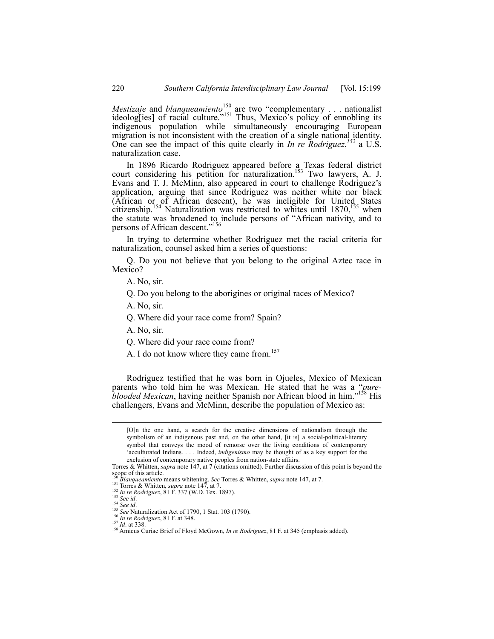*Mestizaje* and *blanqueamiento*<sup>150</sup> are two "complementary . . . nationalist ideolog[ies] of racial culture."<sup>151</sup> Thus, Mexico's policy of ennobling its indigenous population while simultaneously encouraging European migration is not inconsistent with the creation of a single national identity. One can see the impact of this quite clearly in *In re Rodriguez*,<sup>152</sup> a U.S. naturalization case.

In 1896 Ricardo Rodriguez appeared before a Texas federal district court considering his petition for naturalization.<sup>153</sup> Two lawyers, A. J. Evans and T. J. McMinn, also appeared in court to challenge Rodriguez's application, arguing that since Rodriguez was neither white nor black (African or of African descent), he was ineligible for United States citizenship.<sup>154</sup> Naturalization was restricted to whites until  $1870$ ,<sup>155</sup> when the statute was broadened to include persons of "African nativity, and to persons of African descent."<sup>156</sup>

In trying to determine whether Rodriguez met the racial criteria for naturalization, counsel asked him a series of questions:

Q. Do you not believe that you belong to the original Aztec race in Mexico?

A. No, sir.

Q. Do you belong to the aborigines or original races of Mexico?

- A. No, sir.
- Q. Where did your race come from? Spain?
- A. No, sir.
- Q. Where did your race come from?
- A. I do not know where they came from.<sup>157</sup>

Rodriguez testified that he was born in Ojueles, Mexico of Mexican parents who told him he was Mexican. He stated that he was a "*pureblooded Mexican*, having neither Spanish nor African blood in him."158 His challengers, Evans and McMinn, describe the population of Mexico as:

 <sup>[</sup>O]n the one hand, a search for the creative dimensions of nationalism through the symbolism of an indigenous past and, on the other hand, [it is] a social-political-literary symbol that conveys the mood of remorse over the living conditions of contemporary 'acculturated Indians. . . . Indeed, *indigenismo* may be thought of as a key support for the exclusion of contemporary native peoples from nation-state affairs.

Torres & Whitten, *supra* note 147, at 7 (citations omitted). Further discussion of this point is beyond the scope of this article.<br><sup>150</sup> Blanqueamiento means whitening. See Torres & Whitten, *supra* note 147, at 7.<br><sup>151</sup> Torres & Whitten, *supra* note 147, at 7.

<sup>152</sup> *In re Rodriguez*, 81 F. 337 (W.D. Tex. 1897).<br>
<sup>152</sup> *In re Rodriguez*, 81 F. 337 (W.D. Tex. 1897).<br>
<sup>153</sup> *See id.*<br>
<sup>154</sup> *See id.*<br>
<sup>155</sup> *See Naturalization Act of 1790*, 1 Stat. 103 (1790).<br>
<sup>156</sup> *In re Rodrigu*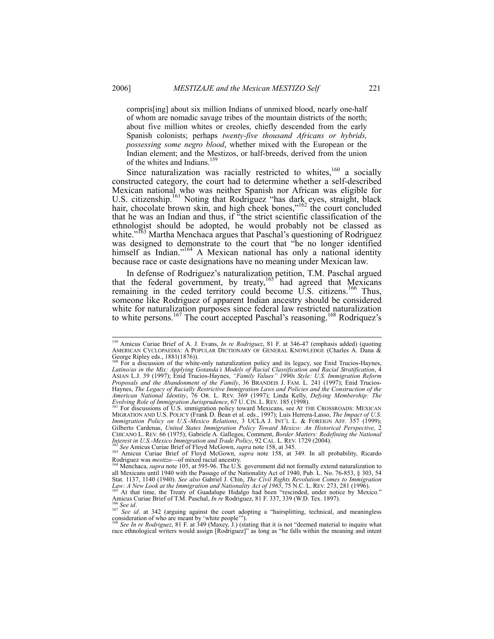compris[ing] about six million Indians of unmixed blood, nearly one-half of whom are nomadic savage tribes of the mountain districts of the north; about five million whites or creoles, chiefly descended from the early Spanish colonists; perhaps *twenty-five thousand Africans or hybrids, possessing some negro blood*, whether mixed with the European or the Indian element; and the Mestizos, or half-breeds, derived from the union of the whites and Indians.<sup>159</sup>

Since naturalization was racially restricted to whites, $160$  a socially constructed category, the court had to determine whether a self-described Mexican national who was neither Spanish nor African was eligible for U.S. citizenship.<sup>161</sup> Noting that Rodriguez "has dark eyes, straight, black hair, chocolate brown skin, and high cheek bones,"<sup>162</sup> the court concluded that he was an Indian and thus, if "the strict scientific classification of the ethnologist should be adopted, he would probably not be classed as white."<sup>163</sup> Martha Menchaca argues that Paschal's questioning of Rodriguez was designed to demonstrate to the court that "he no longer identified himself as Indian."<sup>164</sup> A Mexican national has only a national identity because race or caste designations have no meaning under Mexican law.

In defense of Rodriguez's naturalization petition, T.M. Paschal argued that the federal government, by treaty,  $165<sup>1</sup>$  had agreed that Mexicans remaining in the ceded territory could become  $\overline{U}$ . Citizens.<sup>166</sup> Thus, someone like Rodriguez of apparent Indian ancestry should be considered white for naturalization purposes since federal law restricted naturalization to white persons.<sup>167</sup> The court accepted Paschal's reasoning.<sup>168</sup> Rodriquez's

<sup>&</sup>lt;sup>159</sup> Amicus Curiae Brief of A. J. Evans, *In re Rodriguez*, 81 F. at 346-47 (emphasis added) (quoting<br>AMERICAN CYCLOPAEDIA: A POPULAR DICTIONARY OF GENERAL KNOWLEDGE (Charles A. Dana & George Ripley eds., 1881(1876)).

<sup>&</sup>lt;sup>160</sup> For a discussion of the white-only naturalization policy and its legacy, see Enid Trucios-Haynes, *Latino/as in the Mix: Applying Gotanda's Models of Racial Classification and Racial Stratification, 4* ASIAN L.J. 39 (1997); Enid Trucios-Haynes, *"Family Values" 1990s Style: U.S. Immigration Reform Proposals and the Abandonment of the Family*, 36 BRANDEIS J. FAM. L. 241 (1997); Enid Trucios-Haynes, *The Legacy of Racially Restrictive Immigration Laws and Policies and the Construction of the American National Identity*, 76 OR. L. REV. 369 (1997); Linda Kelly, *Defying Membership: The* 

*Evolving Role of Immigration Jurisprudence*, 67 U. CIN. L. REV. 185 (1998). <sup>161</sup> For discussions of U.S. immigration policy toward Mexicans, see AT THE CROSSROADS: MEXICAN MIGRATION AND U.S. POLICY (Frank D. Bean et al. eds., 1997); Luis Herrera-Lasso, *The Impact of U.S. Immigration Policy on U.S.-Mexico Relations*, 3 UCLA J. INT'L L. & FOREIGN AFF. 357 (1999); Gilberto Cardenas, *United States Immigration Policy Toward Mexico: An Historical Perspective*, 2 CHICANO L. REV. 66 (1975); Gabriele A. Gallegos, Comment, *Border Matters: Redefining the National* 

<sup>&</sup>lt;sup>162</sup> See Amicus Curiae Brief of Floyd McGown, *supra* note 158, at 345.<br><sup>163</sup> Amicus Curiae Brief of Floyd McGown, *supra* note 158, at 349. In all probability, Ricardo Rodriguez was *mestizo*—of mixed racial ancestry.<br><sup>164</sup> Menchaca, *supra* note 105, at 595-96. The U.S. government did not formally extend naturalization to

all Mexicans until 1940 with the Passage of the Nationality Act of 1940, Pub. L. No. 76-853, § 303, 54 Stat. 1137, 1140 (1940). See also Gabriel J. Chin, *The Civil Rights Revolution Comes to Immigration*<br>Law: A New Look at the Immigration and Nationality Act of 1965, 75 N.C. L. REV. 273, 281 (1996).<br><sup>165</sup> At that time, the

Amicus Curiae Brief of T.M. Paschal, *In re* Rodriguez, 81 F. 337, 339 (W.D. Tex. 1897).<br><sup>166</sup> See id. at 342 (arguing against the court adopting a "hairsplitting, technical, and meaningless" See id. at 342 (arguing again

consideration of who are meant by 'white people'"). <sup>168</sup> *See In re Rodriguez*, 81 F. at 349 (Maxey, J.) (stating that it is not "deemed material to inquire what race ethnological writers would assign [Rodriguez]" as long as "he falls within the meaning and intent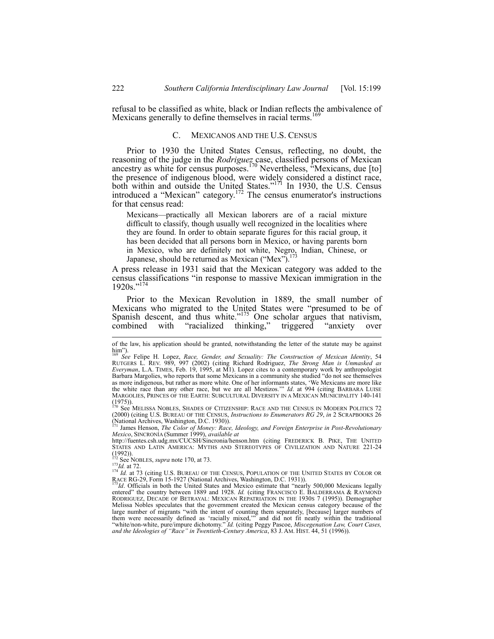refusal to be classified as white, black or Indian reflects the ambivalence of Mexicans generally to define themselves in racial terms.<sup>169</sup>

### C. MEXICANOS AND THE U.S. CENSUS

Prior to 1930 the United States Census, reflecting, no doubt, the reasoning of the judge in the *Rodriguez* case, classified persons of Mexican ancestry as white for census purposes.<sup>170</sup> Nevertheless, "Mexicans, due [to] the presence of indigenous blood, were widely considered a distinct race, both within and outside the United States." $171$  In 1930, the U.S. Census introduced a "Mexican" category.<sup>172</sup> The census enumerator's instructions for that census read:

Mexicans—practically all Mexican laborers are of a racial mixture difficult to classify, though usually well recognized in the localities where they are found. In order to obtain separate figures for this racial group, it has been decided that all persons born in Mexico, or having parents born in Mexico, who are definitely not white, Negro, Indian, Chinese, or Japanese, should be returned as Mexican ("Mex").<sup>173</sup>

A press release in 1931 said that the Mexican category was added to the census classifications "in response to massive Mexican immigration in the  $1920s."$ <sup>17</sup>

Prior to the Mexican Revolution in 1889, the small number of Mexicans who migrated to the United States were "presumed to be of Spanish descent, and thus white." $175$  One scholar argues that nativism, combined with "racialized thinking," triggered "anxiety over

(1975)).<br><sup>170</sup> See Melissa Nobles, Shades of Citizenship: Race and the Census in Modern Politics 72 (2000) (citing U.S. BUREAU OF THE CENSUS, *Instructions to Enumerators RG 29*, *in* 2 SCRAPBOOKS 26 (National Archives, Washington, D.C. 1930)). 171 James Henson, *The Color of Money: Race, Ideology, and Foreign Enterprise in Post-Revolutionary* 

173*Id.* at 72. 174 *Id.* at 73 (citing U.S. BUREAU OF THE CENSUS, POPULATION OF THE UNITED STATES BY COLOR OR 174 *Id.* at 73 (citing U.S. BUREAU OF THE CENSUS, POPULATION OF THE UNITED STATES BY COLOR OR 174 *Id.* at 2.2 race RG-29, Form 15-1927 (National Archives, Washington, D.C. 1931)).<br>
<sup>175</sup>*Id*. Officials in both the United States and Mexico estimate that "nearly 500,000 Mexicans legally

entered" the country between 1889 and 1928. *Id.* (citing FRANCISCO E. BALDERRAMA & RAYMOND RODRIGUEZ, DECADE OF BETRAYAL: MEXICAN REPATRIATION IN THE 1930S 7 (1995)). Demographer Melissa Nobles speculates that the government created the Mexican census category because of the large number of migrants "with the intent of counting them separately, [because] larger numbers of them were necessarily defined as 'racially mixed,'" and did not fit neatly within the traditional "white/non-white, pure/im *and the Ideologies of "Race" in Twentieth-Century America*, 83 J. AM. HIST. 44, 51 (1996)).

of the law, his application should be granted, notwithstanding the letter of the statute may be against  $\lim_{169}$ ").

<sup>&</sup>lt;sup>169</sup> See Felipe H. Lopez, *Race, Gender, and Sexuality: The Construction of Mexican Identity*, 54<br>RUTGERS L. REV. 989, 997 (2002) (citing Richard Rodriguez, *The Strong Man is Unmasked as*<br>*Everyman*, L.A. TIMES, Feb. 19, Barbara Margolies, who reports that some Mexicans in a community she studied "do not see themselves as more indigenous, but rather as more white. One of her informants states, 'We Mexicans are more like the white race than any other race, but we are all Mestizos.'" *Id*. at 994 (citing BARBARA LUISE MARGOLIES, PRINCES OF THE EARTH: SUBCULTURAL DIVERSITY IN A MEXICAN MUNICIPALITY 140-141

*Mexico*, SINCRONÍA (Summer 1999), *available at*

http://fuentes.csh.udg.mx/CUCSH/Sincronia/henson.htm (citing FREDERICK B. PIKE, THE UNITED STATES AND LATIN AMERICA: MYTHS AND STEREOTYPES OF CIVILIZATION AND NATURE 221-24  $(1992)$ .<br> $(1992)$ .<br> $25$  See NOBLES, *supra* note 170, at 73.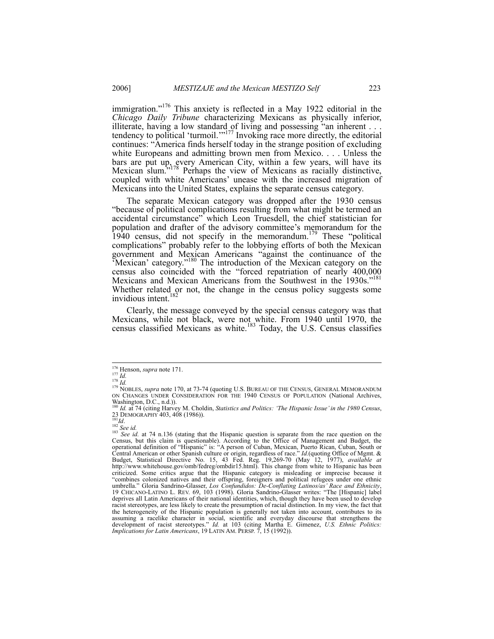immigration."176 This anxiety is reflected in a May 1922 editorial in the *Chicago Daily Tribune* characterizing Mexicans as physically inferior, illiterate, having a low standard of living and possessing "an inherent . . . tendency to political 'turmoil.'"<sup>177</sup> Invoking race more directly, the editorial continues: "America finds herself today in the strange position of excluding white Europeans and admitting brown men from Mexico. . . . Unless the bars are put up, every American City, within a few years, will have its Mexican slum.<sup>5178</sup> Perhaps the view of Mexicans as racially distinctive, coupled with white Americans' unease with the increased migration of Mexicans into the United States, explains the separate census category.

The separate Mexican category was dropped after the 1930 census "because of political complications resulting from what might be termed an accidental circumstance" which Leon Truesdell, the chief statistician for population and drafter of the advisory committee's memorandum for the 1940 census, did not specify in the memorandum.179 These "political complications" probably refer to the lobbying efforts of both the Mexican government and Mexican Americans "against the continuance of the 'Mexican' category."180 The introduction of the Mexican category on the census also coincided with the "forced repatriation of nearly 400,000 Mexicans and Mexican Americans from the Southwest in the 1930s."<sup>181</sup> Whether related or not, the change in the census policy suggests some invidious intent.<sup>182</sup>

Clearly, the message conveyed by the special census category was that Mexicans, while not black, were not white. From 1940 until 1970, the census classified Mexicans as white.<sup>183</sup> Today, the U.S. Census classifies

<sup>&</sup>lt;sup>176</sup> Henson, *supra* note 171.<br><sup>178</sup> *Id.*<br><sup>178</sup> *Id.* 179 NOBLES, *supra* note 170, at 73-74 (quoting U.S. BUREAU OF THE CENSUS, GENERAL MEMORANDUM ON CHANGES UNDER CONSIDERATION FOR THE 1940 CENSUS OF POPULATION (National Archives,

Washington, D.C., n.d.)).<br><sup>180</sup> Id. at 74 (citing Harvey M. Choldin, *Statistics and Politics: 'The Hispanic Issue' in the 1980 Census*, 1*a*. at 74 CH(ing Havey M. Cholum, *Statistics and 1 children.* 1*nd inspanie 2230* DEMOGRAPHY 403, 408 (1986)).<br><sup>181</sup>*Id.* 182 *See id.* at 74 n.136 (stating that the Hispanic question is separate from the race question

Census, but this claim is questionable). According to the Office of Management and Budget, the operational definition of "Hispanic" is: "A person of Cuban, Mexican, Puerto Rican, Cuban, South or Central American or other Spanish culture or origin, regardless of race." *Id.*(quoting Office of Mgmt. & Budget, Statistical Directive No. 15, 43 Fed. Reg. 19,269-70 (May 12, 1977), *available at* http://www.whitehouse.gov/omb/fedreg/ombdir15.html). This change from white to Hispanic has been criticized. Some critics argue that the Hispanic category is misleading or imprecise because it "combines colonized natives and their offspring, foreigners and political refugees under one ethnic umbrella." Gloria Sandrino-Glasser, *Los Confundidos: De-Conflating Latinos/as' Race and Ethnicity*, 19 CHICANO-LATINO L. REV. 69, 103 (1998). Gloria Sandrino-Glasser writes: "The [Hispanic] label deprives all Latin Americans of their national identities, which, though they have been used to develop racist stereotypes, are less likely to create the presumption of racial distinction. In my view, the fact that the heterogeneity of the Hispanic population is generally not taken into account, contributes to its assuming a racelike character in social, scientific and everyday discourse that strengthens the development of racist stereotypes." *Id.* at 103 (citing Martha E. Gimenez, *U.S. Ethnic Politics: Implications for Latin Americans*, 19 LATIN AM. PERSP. 7, 15 (1992)).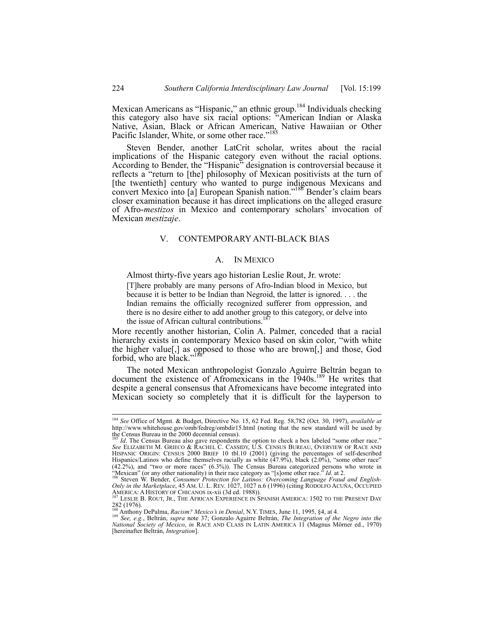Mexican Americans as "Hispanic," an ethnic group.<sup>184</sup> Individuals checking this category also have six racial options: "American Indian or Alaska Native, Asian, Black or African American, Native Hawaiian or Other Pacific Islander, White, or some other race."<sup>185</sup>

Steven Bender, another LatCrit scholar, writes about the racial implications of the Hispanic category even without the racial options. According to Bender, the "Hispanic" designation is controversial because it reflects a "return to [the] philosophy of Mexican positivists at the turn of [the twentieth] century who wanted to purge indigenous Mexicans and convert Mexico into [a] European Spanish nation."<sup>186</sup> Bender's claim bears closer examination because it has direct implications on the alleged erasure of Afro-*mestizos* in Mexico and contemporary scholars' invocation of Mexican *mestizaje*.

# V. CONTEMPORARY ANTI-BLACK BIAS

### A. IN MEXICO

Almost thirty-five years ago historian Leslie Rout, Jr. wrote:

[T]here probably are many persons of Afro-Indian blood in Mexico, but because it is better to be Indian than Negroid, the latter is ignored. . . . the Indian remains the officially recognized sufferer from oppression, and there is no desire either to add another group to this category, or delve into the issue of African cultural contributions.

More recently another historian, Colin A. Palmer, conceded that a racial hierarchy exists in contemporary Mexico based on skin color, "with white the higher value[,] as opposed to those who are brown[,] and those, God forbid, who are black.'

The noted Mexican anthropologist Gonzalo Aguirre Beltrán began to document the existence of Afromexicans in the 1940s.<sup>189</sup> He writes that despite a general consensus that Afromexicans have become integrated into Mexican society so completely that it is difficult for the layperson to

 <sup>184</sup> *See* Office of Mgmt. & Budget, Directive No. 15, 62 Fed. Reg. 58,782 (Oct. 30, 1997), *available at* http://www.whitehouse.gov/omb/fedreg/ombdir15.html (noting that the new standard will be used by

the Census Bureau in the 2000 decennial census).<br><sup>185</sup> *Id*. The Census Bureau also gave respondents the option to check a box labeled "some other race."<br>*See* ELIZABETH M. GRIECO & RACHEL C. CASSIDY, U.S. CENSUS BUREAU, O HISPANIC ORIGIN: CENSUS 2000 BRIEF 10 tbl.10 (2001) (giving the percentages of self-described Hispanics/Latinos who define themselves racially as white (47.9%), black (2.0%), "some other race" (42.2%), and "two or more races" (6.3%)). The Census Bureau categorized persons who wrote in

<sup>&</sup>quot;Mexican" (or any other nationality) in their race category as "[s]ome other race." Id. at 2.<br><sup>186</sup> Steven W. Bender, *Consumer Protection for Latinos: Overcoming Language Fraud and English-*<br>*Only in the Marketplace*, 45 AMERICA: A HISTORY OF CHICANOS ix-xii (3d ed. 1988)). (2000) (2000) (2000) STREOM, SECUTIBLE B. ROUT, JR., THE AFRICAN EXPERIENCE IN SPANISH AMERICA: 1502 TO THE PRESENT DAY

<sup>282 (1976).</sup> ANO 1, JR., THE AFRICAN EXPERIENCE IN SPANISH AMERICA: 1502 TO TH<br><sup>188</sup> Anthony DePalma, *Racism? Mexico's in Denial*, N.Y. TIMES, June 11, 1995, §4, at 4.

<sup>&</sup>lt;sup>188</sup> Anthony DePalma, *Racism? Mexico's in Denial*, N.Y. TIMES, June 11, 1995, §4, at 4.<br><sup>189</sup> See, e.g., Beltrán, *supra* note 37; Gonzalo Aguirre Beltrán, *The Integration of the Negro into the*<br>*National Society of Mex* [hereinafter Beltrán, *Integration*].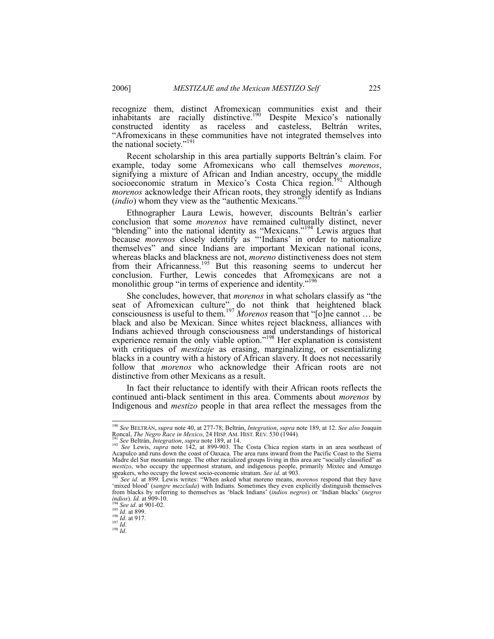recognize them, distinct Afromexican communities exist and their inhabitants are racially distinctive.<sup>190</sup> Despite Mexico's nationally constructed identity as raceless and casteless, Beltrán writes, "Afromexicans in these communities have not integrated themselves into the national society."<sup>191</sup>

Recent scholarship in this area partially supports Beltrán's claim. For example, today some Afromexicans who call themselves *morenos*, signifying a mixture of African and Indian ancestry, occupy the middle socioeconomic stratum in Mexico's Costa Chica region.<sup>192</sup> Although *morenos* acknowledge their African roots, they strongly identify as Indians (*indio*) whom they view as the "authentic Mexicans."

Ethnographer Laura Lewis, however, discounts Beltrán's earlier conclusion that some *morenos* have remained culturally distinct, never "blending" into the national identity as "Mexicans."<sup>194</sup> Lewis argues that because *morenos* closely identify as "'Indians' in order to nationalize themselves" and since Indians are important Mexican national icons, whereas blacks and blackness are not, *moreno* distinctiveness does not stem from their Africanness.<sup>195</sup> But this reasoning seems to undercut her conclusion. Further, Lewis concedes that Afromexicans are not a monolithic group "in terms of experience and identity."<sup>196</sup>

She concludes, however, that *morenos* in what scholars classify as "the seat of Afromexican culture" do not think that heightened black consciousness is useful to them.<sup>197</sup> *Morenos* reason that "[o]ne cannot ... be black and also be Mexican. Since whites reject blackness, alliances with Indians achieved through consciousness and understandings of historical experience remain the only viable option."198 Her explanation is consistent with critiques of *mestizaje* as erasing, marginalizing, or essentializing blacks in a country with a history of African slavery. It does not necessarily follow that *morenos* who acknowledge their African roots are not distinctive from other Mexicans as a result.

In fact their reluctance to identify with their African roots reflects the continued anti-black sentiment in this area. Comments about *morenos* by Indigenous and *mestizo* people in that area reflect the messages from the

 <sup>190</sup> *See* BELTRÁN, *supra* note 40, at 277-78; Beltrán, *Integration*, *supra* note 189, at 12. *See also* Joaquin

<sup>&</sup>lt;sup>197</sup> See Beltrán, *Integration*, *supra* note 189, at 14.<br><sup>192</sup> See Beltrán, *Integration*, *supra* note 189, at 14.<br><sup>192</sup> See Lewis, *supra* note 142, at 899-903. The Costa Chica region starts in an area southeast of Acapulco and runs down the coast of Oaxaca. The area runs inward from the Pacific Coast to the Sierra Madre del Sur mountain range. The other racialized groups living in this area are "socially classified" as *mestizo*, who occupy the uppermost stratum, and indigenous people, primarily Mixtec and Amuzgo speakers, who occupy the lowest socio-economic stratum. See id. at 903.

See id. at 899. Lewis writes: "When asked what moreno means, *morenos* respond that they have 'mixed blood' (*sangre mezclada*) with Indians. Sometimes they even explicitly distinguish themselves from blacks by referring to themselves as 'black Indians' (*indios negros*) or 'Indian blacks' (*negros* 

*indios*). *Id.* at 909-10. 194 *See id*. at 901-02. 195 *Id*. at 899. 196 *Id*. at 917. 197 *Id*. 198 *Id*.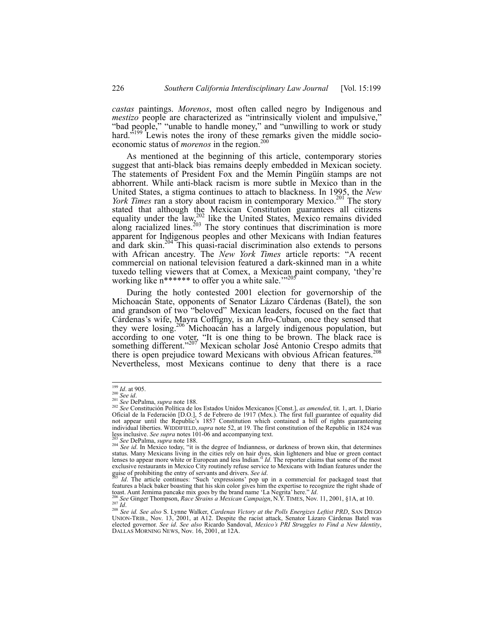*castas* paintings. *Morenos*, most often called negro by Indigenous and *mestizo* people are characterized as "intrinsically violent and impulsive," "bad people," "unable to handle money," and "unwilling to work or study hard.<sup>5199</sup> Lewis notes the irony of these remarks given the middle socioeconomic status of *morenos* in the region.<sup>200</sup>

As mentioned at the beginning of this article, contemporary stories suggest that anti-black bias remains deeply embedded in Mexican society. The statements of President Fox and the Memín Pingüín stamps are not abhorrent. While anti-black racism is more subtle in Mexico than in the United States, a stigma continues to attach to blackness. In 1995, the *New York Times* ran a story about racism in contemporary Mexico.<sup>201</sup> The story stated that although the Mexican Constitution guarantees all citizens equality under the law,<sup>202</sup> like the United States, Mexico remains divided along racialized lines.<sup>203</sup> The story continues that discrimination is more apparent for Indigenous peoples and other Mexicans with Indian features and dark skin.<sup>204</sup> This quasi-racial discrimination also extends to persons with African ancestry. The *New York Times* article reports: "A recent commercial on national television featured a dark-skinned man in a white tuxedo telling viewers that at Comex, a Mexican paint company, 'they're working like n\*\*\*\*\*\* to offer you a white sale.'"205

During the hotly contested 2001 election for governorship of the Michoacán State, opponents of Senator Lázaro Cárdenas (Batel), the son and grandson of two "beloved" Mexican leaders, focused on the fact that Cárdenas's wife, Mayra Coffigny, is an Afro-Cuban, once they sensed that they were losing.206 Michoacán has a largely indigenous population, but according to one voter, "It is one thing to be brown. The black race is something different."<sup>207</sup> Mexican scholar José Antonio Crespo admits that there is open prejudice toward Mexicans with obvious African features.<sup>208</sup> Nevertheless, most Mexicans continue to deny that there is a race

<sup>&</sup>lt;sup>199</sup> *Id.* at 905.<br><sup>201</sup> *See id.* 201 *See id.* 201 *See DePalma, supra* note 188. 202 *See* Constitución Política de los Estados Unidos Mexicanos [Const.], *as amended*, tit. 1, art. 1, Diario Oficial de la Federación [D.O.], 5 de Febrero de 1917 (Mex.). The first full guarantee of equality did<br>not appear until the Republic's 1857 Constitution which contained a bill of rights guaranteeing<br>individual liberties. W less inclusive. See supra notes 101-06 and accompanying text.<br><sup>203</sup> See DePalma, *supra* note 188.<br><sup>204</sup> See id. In Mexico today, "it is the degree of Indianness, or darkness of brown skin, that determines

status. Many Mexicans living in the cities rely on hair dyes, skin lighteners and blue or green contact<br>lenses to appear more white or European and less Indian." *Id*. The reporter claims that some of the most<br>exclusive re

guise of prohibiting the entry of servants and drivers. See id.<br><sup>205</sup> Id. The article continues: "Such 'expressions' pop up in a commercial for packaged toast that<br>features a black baker boasting that his skin color gives

toast. Aunt Jemima pancake mix goes by the brand name 'La Negrita' here." *Id.*<br><sup>206</sup> See Ginger Thompson, *Race Strains a Mexican Campaign*, N.Y. TIMES, Nov. 11, 2001, §1A, at 10.<br><sup>207</sup> *Id.*<br><sup>208</sup> See id. See also S. Lyn elected governor. *See id*. *See also* Ricardo Sandoval, *Mexico's PRI Struggles to Find a New Identity*, DALLAS MORNING NEWS, Nov. 16, 2001, at 12A.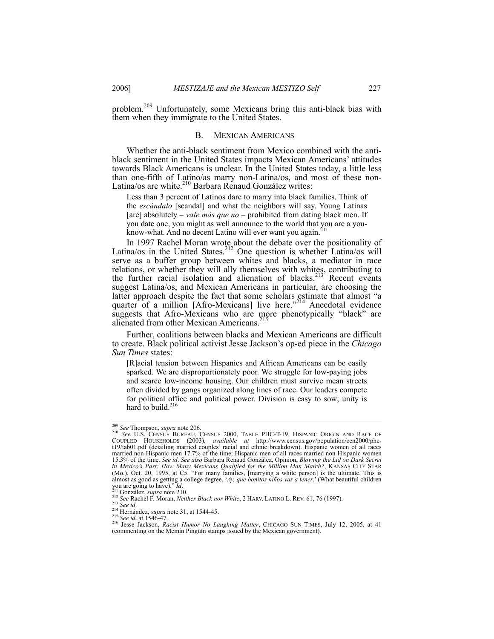problem.209 Unfortunately, some Mexicans bring this anti-black bias with them when they immigrate to the United States.

#### B. MEXICAN AMERICANS

Whether the anti-black sentiment from Mexico combined with the antiblack sentiment in the United States impacts Mexican Americans' attitudes towards Black Americans is unclear. In the United States today, a little less than one-fifth of Latino/as marry non-Latina/os, and most of these non-Latina/os are white.<sup>210</sup> Barbara Renaud González writes:

Less than 3 percent of Latinos dare to marry into black families. Think of the *escándalo* [scandal] and what the neighbors will say. Young Latinas [are] absolutely *– vale más que no* – prohibited from dating black men. If you date one, you might as well announce to the world that you are a youknow-what. And no decent Latino will ever want you again.<sup>211</sup>

In 1997 Rachel Moran wrote about the debate over the positionality of Latina/os in the United States.<sup>212</sup> One question is whether Latina/os will serve as a buffer group between whites and blacks, a mediator in race relations, or whether they will ally themselves with whites, contributing to the further racial isolation and alienation of blacks.<sup>213</sup> Recent events suggest Latina/os, and Mexican Americans in particular, are choosing the latter approach despite the fact that some scholars estimate that almost "a quarter of a million [Afro-Mexicans] live here."<sup>214</sup> Anecdotal evidence suggests that Afro-Mexicans who are more phenotypically "black" are alienated from other Mexican Americans.<sup>215</sup>

Further, coalitions between blacks and Mexican Americans are difficult to create. Black political activist Jesse Jackson's op-ed piece in the *Chicago Sun Times* states:

[R]acial tension between Hispanics and African Americans can be easily sparked. We are disproportionately poor. We struggle for low-paying jobs and scarce low-income housing. Our children must survive mean streets often divided by gangs organized along lines of race. Our leaders compete for political office and political power. Division is easy to sow; unity is hard to build.<sup>216</sup>

<sup>&</sup>lt;sup>209</sup> *See* Thompson, *supra* note 206.<br><sup>210</sup> *See* U.S. CENSUS BUREAU, CENSUS 2000, TABLE PHC-T-19, HISPANIC ORIGIN AND RACE OF COUPLED HOUSEHOLDS (2003), *available at* http://www.census.gov/population/cen2000/phc-t19/tab01.pdf (detailing married couples' racial and ethnic breakdown). Hispanic women of all races married non-Hispanic men 17.7% of the time; Hispanic men of all races married non-Hispanic women 15.3% of the time. *See id*. *See also* Barbara Renaud González, Opinion, *Blowing the Lid on Dark Secret in Mexico's Past: How Many Mexicans Qualified for the Million Man March?*, KANSAS CITY STAR (Mo.), Oct. 20, 1995, at C5. "For many families, [marrying a white person] is the ultimate. This is almost as good as getting a college degree. '*Ay, que bonitos niños vas a tener*.' (What beautiful children you are going to have)."Id.<br>
<sup>211</sup> González, *supra* note 210.<br>
<sup>212</sup> See Rachel F. Moran, *Neither Black nor White*, 2 HARV. LATINO L. REV. 61, 76 (1997).<br>
<sup>213</sup> See id.<br>
<sup>214</sup> See id. at 1546-47.<br>
<sup>215</sup> See id. at 1546-

<sup>(</sup>commenting on the Memín Pingüín stamps issued by the Mexican government).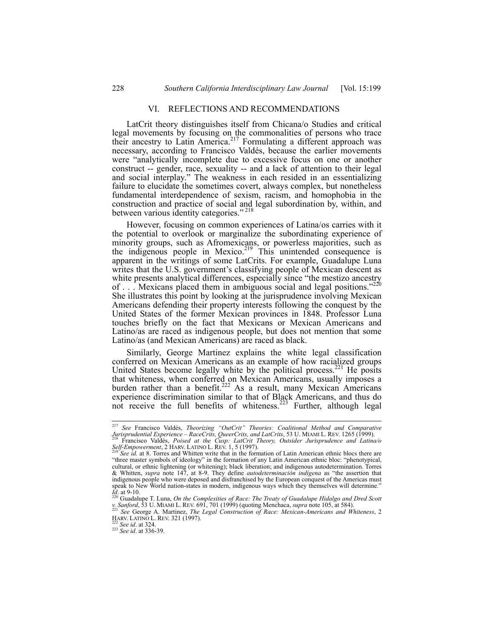## VI. REFLECTIONS AND RECOMMENDATIONS

LatCrit theory distinguishes itself from Chicana/o Studies and critical legal movements by focusing on the commonalities of persons who trace their ancestry to Latin America.<sup>217</sup> Formulating a different approach was necessary, according to Francisco Valdés, because the earlier movements were "analytically incomplete due to excessive focus on one or another construct -- gender, race, sexuality -- and a lack of attention to their legal and social interplay." The weakness in each resided in an essentializing failure to elucidate the sometimes covert, always complex, but nonetheless fundamental interdependence of sexism, racism, and homophobia in the construction and practice of social and legal subordination by, within, and between various identity categories."<sup>218</sup>

However, focusing on common experiences of Latina/os carries with it the potential to overlook or marginalize the subordinating experience of minority groups, such as Afromexicans, or powerless majorities, such as the indigenous people in Mexico.<sup>219</sup> This unintended consequence is apparent in the writings of some LatCrits. For example, Guadalupe Luna writes that the U.S. government's classifying people of Mexican descent as white presents analytical differences, especially since "the mestizo ancestry of . . . Mexicans placed them in ambiguous social and legal positions."<sup>220</sup> She illustrates this point by looking at the jurisprudence involving Mexican Americans defending their property interests following the conquest by the United States of the former Mexican provinces in 1848. Professor Luna touches briefly on the fact that Mexicans or Mexican Americans and Latino/as are raced as indigenous people, but does not mention that some Latino/as (and Mexican Americans) are raced as black.

Similarly, George Martinez explains the white legal classification conferred on Mexican Americans as an example of how racialized groups United States become legally white by the political process.<sup>221</sup> He posits that whiteness, when conferred on Mexican Americans, usually imposes a burden rather than a benefit.<sup>222</sup> As a result, many Mexican Americans experience discrimination similar to that of Black Americans, and thus do not receive the full benefits of whiteness.<sup>223</sup> Further, although legal

<sup>&</sup>lt;sup>217</sup> *See* Francisco Valdés, *Theorizing "OutCrit" Theories: Coalitional Method and Comparative <i>Jurisprudential Experience – RaceCrits, QueerCrits, and LatCrits*, 53 U. MIAMI L. REV. 1265 (1999). *Jurisprudential Experience – RaceCrits, QueerCrits, and LatCrits, 53 U. MIAMI L. REV. 1265 (1999).*<br><sup>218</sup> Francisco Valdés, *Poised at the Cusp: LatCrit Theory, Outsider Jurisprudence and Latina/o* 

*Self-Empowerment*, 2 HARV. LATINO L. REV. 1, 5 (1997).<br><sup>219</sup> *See id.* at 8. Torres and Whitten write that in the formation of Latin American ethnic blocs there are "three master symbols of ideology" in the formation of any Latin American ethnic bloc: "phenotypical, cultural, or ethnic lightening (or whitening); black liberation; and indigenous autodetermination. Torres & Whitten, *supra* note 147, at 8-9. They define *autodeterminación indígena* as "the assertion that indigenous people who were deposed and disfranchised by the European conquest of the Americas must speak to New World nation-states in modern, indigenous ways which they themselves will determine.<br> $\frac{72}{220}$  a  $\frac{220}{21}$ 

<sup>&</sup>lt;sup>220</sup> Guadalupe T. Luna, *On the Complexities of Race: The Treaty of Guadalupe Hidalgo and Dred Scott* v. *Sanford*, 53 U. MIAM L. REV. 691, 701 (1999) (quoting Menchaca, *supra* note 105, at 584). *v. Sanford*, 53 U. MIAMI L. REV. 691, 701 (1999) (quoting Menchaca, *supra* note 105, at 584). 221 *See* George A. Martinez, *The Legal Construction of Race: Mexican-Americans and Whiteness*, 2

HARV. LATINO L. REV. 321 (1997). 222 *See id*. at 324. 223 *See id*. at 336-39.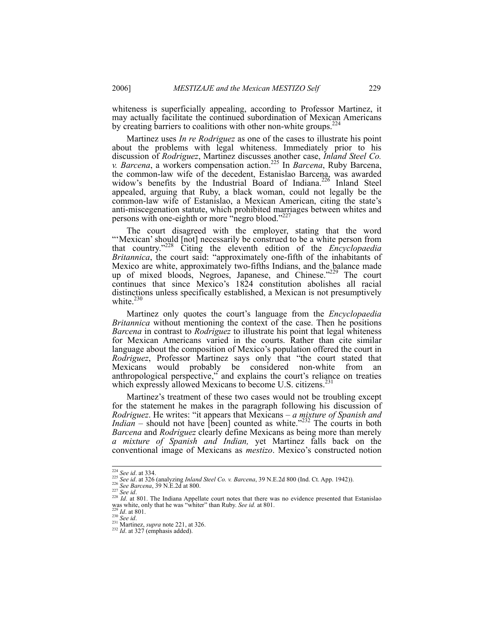whiteness is superficially appealing, according to Professor Martinez, it may actually facilitate the continued subordination of Mexican Americans by creating barriers to coalitions with other non-white groups.<sup>224</sup>

Martinez uses *In re Rodriguez* as one of the cases to illustrate his point about the problems with legal whiteness. Immediately prior to his discussion of *Rodriguez*, Martinez discusses another case, *Inland Steel Co. v. Barcena*, a workers compensation action.225 In *Barcena*, Ruby Barcena, the common-law wife of the decedent, Estanislao Barcena, was awarded widow's benefits by the Industrial Board of Indiana.<sup>226</sup> Inland Steel appealed, arguing that Ruby, a black woman, could not legally be the common-law wife of Estanislao, a Mexican American, citing the state's anti-miscegenation statute, which prohibited marriages between whites and persons with one-eighth or more "negro blood."<sup>22</sup>

The court disagreed with the employer, stating that the word "'Mexican' should [not] necessarily be construed to be a white person from that country."228 Citing the eleventh edition of the *Encyclopaedia Britannica*, the court said: "approximately one-fifth of the inhabitants of Mexico are white, approximately two-fifths Indians, and the balance made up of mixed bloods, Negroes, Japanese, and Chinese."<sup>229</sup> The court continues that since Mexico's 1824 constitution abolishes all racial distinctions unless specifically established, a Mexican is not presumptively white. $230$ 

Martinez only quotes the court's language from the *Encyclopaedia Britannica* without mentioning the context of the case. Then he positions *Barcena* in contrast to *Rodriguez* to illustrate his point that legal whiteness for Mexican Americans varied in the courts. Rather than cite similar language about the composition of Mexico's population offered the court in *Rodriguez*, Professor Martinez says only that "the court stated that Mexicans would probably be considered non-white from an anthropological perspective," and explains the court's reliance on treaties which expressly allowed Mexicans to become U.S. citizens.<sup>23</sup>

Martinez's treatment of these two cases would not be troubling except for the statement he makes in the paragraph following his discussion of *Rodriguez*. He writes: "it appears that Mexicans – *a mixture of Spanish and Indian* – should not have  $\left[\text{been}\right]$  counted as white."<sup>232</sup> The courts in both *Barcena* and *Rodriguez* clearly define Mexicans as being more than merely *a mixture of Spanish and Indian,* yet Martinez falls back on the conventional image of Mexicans as *mestizo*. Mexico's constructed notion

<sup>&</sup>lt;sup>224</sup> See id. at 334.<br><sup>225</sup> See id. at 326 (analyzing *Inland Steel Co. v. Barcena*, 39 N.E.2d 800 (Ind. Ct. App. 1942)).<br><sup>226</sup> See *Barcena*, 39 N.E.2d at 800.<br><sup>226</sup> See id.<br><sup>228</sup> Id. at 801. The Indiana Appellate court was white, only that he was "whiter" than Ruby. *See id.* at 801.<br><sup>229</sup> *Id.* at 801.<br><sup>230</sup> *See id.*<br><sup>231</sup> Martinez, *supra* note 221, at 326.<br><sup>232</sup> *Id.* at 327 (emphasis added).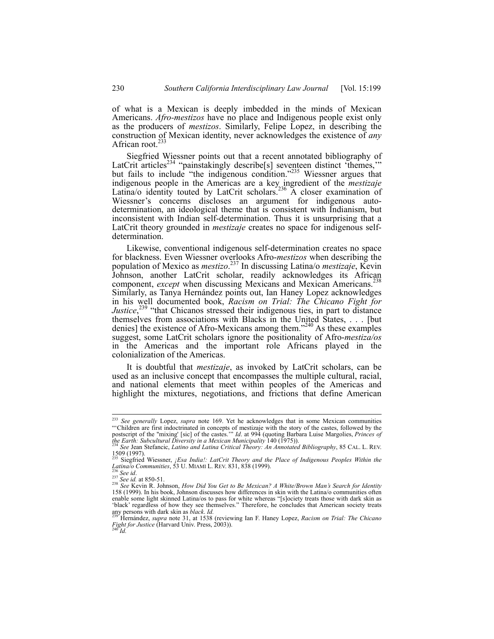of what is a Mexican is deeply imbedded in the minds of Mexican Americans. *Afro-mestizos* have no place and Indigenous people exist only as the producers of *mestizos*. Similarly, Felipe Lopez, in describing the construction of Mexican identity, never acknowledges the existence of *any* African root. $233$ 

Siegfried Wiessner points out that a recent annotated bibliography of LatCrit articles<sup>234</sup> "painstakingly describe<sup>[s]</sup> seventeen distinct 'themes,'" but fails to include "the indigenous condition."<sup>235</sup> Wiessner argues that indigenous people in the Americas are a key ingredient of the *mestizaje* Latina/o identity touted by LatCrit scholars.<sup>236</sup> A closer examination of Wiessner's concerns discloses an argument for indigenous autodetermination, an ideological theme that is consistent with Indianism, but inconsistent with Indian self-determination. Thus it is unsurprising that a LatCrit theory grounded in *mestizaje* creates no space for indigenous selfdetermination.

Likewise, conventional indigenous self-determination creates no space for blackness. Even Wiessner overlooks Afro-*mestizos* when describing the population of Mexico as *mestizo*. 237 In discussing Latina/o *mestizaje*, Kevin Johnson, another LatCrit scholar, readily acknowledges its African component, *except* when discussing Mexicans and Mexican Americans.<sup>238</sup> Similarly, as Tanya Hernández points out, Ian Haney Lopez acknowledges in his well documented book, *Racism on Trial: The Chicano Fight for Justice*<sup>239</sup> "that Chicanos stressed their indigenous ties, in part to distance themselves from associations with Blacks in the United States, . . . [but denies] the existence of Afro-Mexicans among them."<sup>240</sup> As these examples suggest, some LatCrit scholars ignore the positionality of Afro-*mestiza/os* in the Americas and the important role Africans played in the colonialization of the Americas.

It is doubtful that *mestizaje*, as invoked by LatCrit scholars, can be used as an inclusive concept that encompasses the multiple cultural, racial, and national elements that meet within peoples of the Americas and highlight the mixtures, negotiations, and frictions that define American

 <sup>233</sup> *See generally* Lopez, *supra* note 169. Yet he acknowledges that in some Mexican communities "'Children are first indoctrinated in concepts of mestizaje with the story of the castes, followed by the postscript of the "mixing' [sic] of the castes.'" *Id*. at 994 (quoting Barbara Luise Margolies, *Princes of the Earth: Subcultural Diversity in a Mexican Municipality* 140 (1975)). 234 *See* Jean Stefancic, *Latino and Latina Critical Theory: An Annotated Bibliography*, 85 CAL. L. REV.

 $\frac{1509}{235}(1997)$ .

<sup>&</sup>lt;sup>235</sup> Siegfried Wiessner, *¡Esa India!: LatCrit Theory and the Place of Indigenous Peoples Within the Latina/o Communities*, 53 U. MIAMI L. REV. 831, 838 (1999).

 $\frac{236}{236}$  See id.<br>  $\frac{237}{236}$  See id.<br>  $\frac{237}{236}$  See id. at 850-51.<br>  $\frac{237}{236}$  See Kevin R. Johnson, *How Did You Get to Be Mexican? A White/Brown Man's Search for Identity* 158 (1999). In his book, Johnson discusses how differences in skin with the Latina/o communities often enable some light skinned Latina/os to pass for white whereas "[s]ociety treats those with dark skin as 'black' regardless of how they see themselves." Therefore, he concludes that American society treats any persons with dark skin as *black. Id.*<br><sup>239</sup> Hernández, *supra* note 31, at 1538 (reviewing Ian F. Haney Lopez, *Racism on Trial: The Chicano* 

*Fight for Justice* (Harvard Univ. Press, 2003)). 240 *Id.*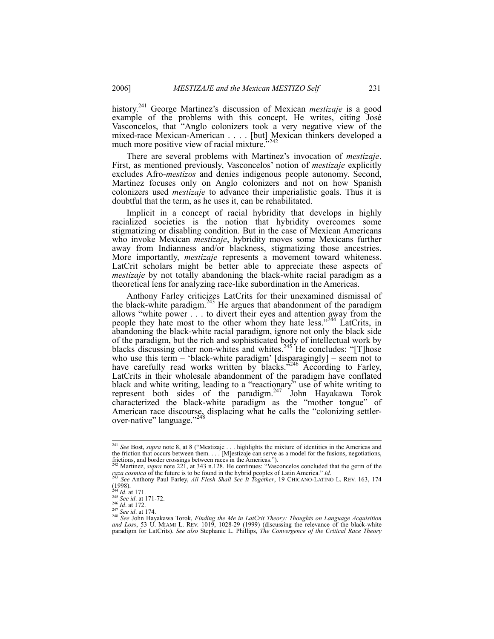history.241 George Martinez's discussion of Mexican *mestizaje* is a good example of the problems with this concept. He writes, citing José Vasconcelos, that "Anglo colonizers took a very negative view of the mixed-race Mexican-American . . . . [but] Mexican thinkers developed a much management winner of movies minimum  $^{2242}$ much more positive view of racial mixture.

There are several problems with Martinez's invocation of *mestizaje*. First, as mentioned previously, Vasconcelos' notion of *mestizaje* explicitly excludes Afro-*mestizos* and denies indigenous people autonomy. Second, Martinez focuses only on Anglo colonizers and not on how Spanish colonizers used *mestizaje* to advance their imperialistic goals. Thus it is doubtful that the term, as he uses it, can be rehabilitated.

Implicit in a concept of racial hybridity that develops in highly racialized societies is the notion that hybridity overcomes some stigmatizing or disabling condition. But in the case of Mexican Americans who invoke Mexican *mestizaje*, hybridity moves some Mexicans further away from Indianness and/or blackness, stigmatizing those ancestries. More importantly, *mestizaje* represents a movement toward whiteness. LatCrit scholars might be better able to appreciate these aspects of *mestizaje* by not totally abandoning the black-white racial paradigm as a theoretical lens for analyzing race-like subordination in the Americas.

Anthony Farley criticizes LatCrits for their unexamined dismissal of the black-white paradigm.<sup>243</sup> He argues that abandonment of the paradigm allows "white power . . . to divert their eyes and attention away from the people they hate most to the other whom they hate less."<sup>244</sup> LatCrits, in abandoning the black-white racial paradigm, ignore not only the black side of the paradigm, but the rich and sophisticated body of intellectual work by blacks discussing other non-whites and whites.<sup>245</sup> He concludes: "[T]hose who use this term – 'black-white paradigm' [disparagingly] – seem not to have carefully read works written by blacks."<sup>246</sup> According to Farley, LatCrits in their wholesale abandonment of the paradigm have conflated black and white writing, leading to a "reactionary" use of white writing to represent both sides of the paradigm.<sup>247</sup> John Hayakawa Torok characterized the black-white paradigm as the "mother tongue" of American race discourse, displacing what he calls the "colonizing settlerover-native" language."<sup>248</sup>

 <sup>241</sup> *See* Bost, *supra* note 8, at 8 ("Mestizaje . . . highlights the mixture of identities in the Americas and the friction that occurs between them. . . . [M]estizaje can serve as a model for the fusions, negotiations, frictions, and border crossings between races in the Americas."). 242 Martinez, *supra* note 221, at 343 n.128. He continues: "Vasconcelos concluded that the germ of the

*raza cosmica* of the future is to be found in the hybrid peoples of Latin America." *Id*. 243 *See* Anthony Paul Farley, *All Flesh Shall See It Together*, 19 CHICANO-LATINO L. REV. 163, 174

 $(1998)$ .<br><sup>244</sup> *Id.* at 171.<br><sup>245</sup> *See id.* at 171-72.

<sup>&</sup>lt;sup>244</sup> *Id.* at 171.<br><sup>245</sup> See id. at 171-72.<br><sup>246</sup> Id. at 172.<br><sup>247</sup> See id. at 174.<br><sup>247</sup> See John Hayakawa Torok, *Finding the Me in LatCrit Theory: Thoughts on Language Acquisition*<br><sup>247</sup> See John Hayakawa Torok, *Findi* paradigm for LatCrits). *See also* Stephanie L. Phillips, *The Convergence of the Critical Race Theory*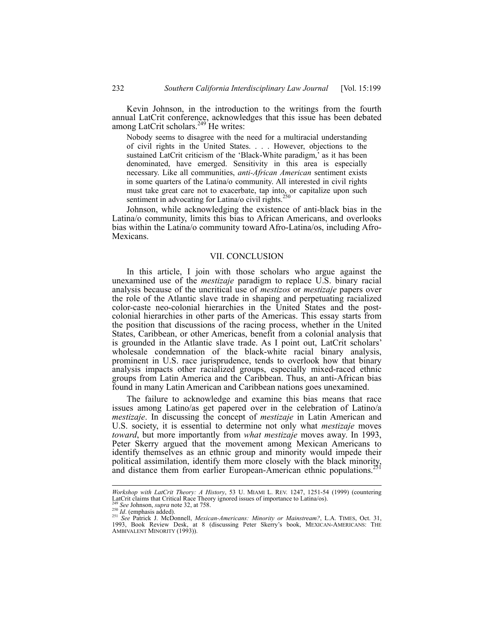Kevin Johnson, in the introduction to the writings from the fourth annual LatCrit conference, acknowledges that this issue has been debated among LatCrit scholars.<sup>249</sup> He writes:

Nobody seems to disagree with the need for a multiracial understanding of civil rights in the United States. . . . However, objections to the sustained LatCrit criticism of the 'Black-White paradigm,' as it has been denominated, have emerged. Sensitivity in this area is especially necessary. Like all communities, *anti-African American* sentiment exists in some quarters of the Latina/o community. All interested in civil rights must take great care not to exacerbate, tap into, or capitalize upon such sentiment in advocating for Latina/o civil rights.<sup>250</sup>

Johnson, while acknowledging the existence of anti-black bias in the Latina/o community, limits this bias to African Americans, and overlooks bias within the Latina/o community toward Afro-Latina/os, including Afro-Mexicans.

### VII. CONCLUSION

In this article, I join with those scholars who argue against the unexamined use of the *mestizaje* paradigm to replace U.S. binary racial analysis because of the uncritical use of *mestizos* or *mestizaje* papers over the role of the Atlantic slave trade in shaping and perpetuating racialized color-caste neo-colonial hierarchies in the United States and the postcolonial hierarchies in other parts of the Americas. This essay starts from the position that discussions of the racing process, whether in the United States, Caribbean, or other Americas, benefit from a colonial analysis that is grounded in the Atlantic slave trade. As I point out, LatCrit scholars' wholesale condemnation of the black-white racial binary analysis, prominent in U.S. race jurisprudence, tends to overlook how that binary analysis impacts other racialized groups, especially mixed-raced ethnic groups from Latin America and the Caribbean. Thus, an anti-African bias found in many Latin American and Caribbean nations goes unexamined.

The failure to acknowledge and examine this bias means that race issues among Latino/as get papered over in the celebration of Latino/a *mestizaje*. In discussing the concept of *mestizaje* in Latin American and U.S. society, it is essential to determine not only what *mestizaje* moves *toward*, but more importantly from *what mestizaje* moves away. In 1993, Peter Skerry argued that the movement among Mexican Americans to identify themselves as an ethnic group and minority would impede their political assimilation, identify them more closely with the black minority, and distance them from earlier European-American ethnic populations.<sup>2</sup>

l

*Workshop with LatCrit Theory: A History*, 53 U. MIAMI L. REV. 1247, 1251-54 (1999) (countering

LatCrit claims that Critical Race Theory ignored issues of importance to Latina/os).<br>
<sup>249</sup> See Johnson, *supra* note 32, at 758.<br>
<sup>251</sup> See Johnson, *supra* note 32, at 758.<br>
<sup>251</sup> See Patrick J. McDonnell, *Mexican-Ameri* 1993, Book Review Desk, at 8 (discussing Peter Skerry's book, MEXICAN-AMERICANS: THE AMBIVALENT MINORITY (1993)).